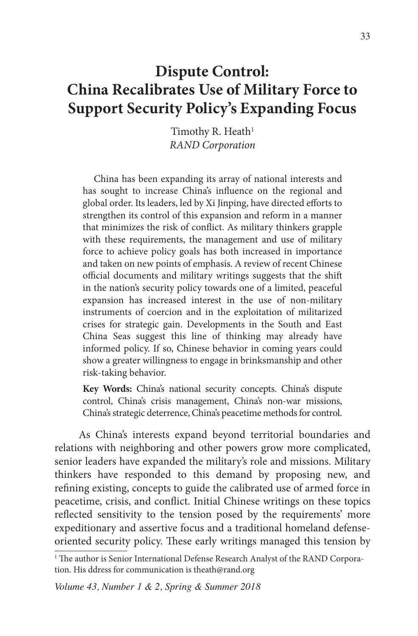# **Dispute Control: China Recalibrates Use of Military Force to Support Security Policy's Expanding Focus**

Timothy R. Heath $1$ *RAND Corporation*

China has been expanding its array of national interests and has sought to increase China's influence on the regional and global order. Its leaders, led by Xi Jinping, have directed efforts to strengthen its control of this expansion and reform in a manner that minimizes the risk of conflict. As military thinkers grapple with these requirements, the management and use of military force to achieve policy goals has both increased in importance and taken on new points of emphasis. A review of recent Chinese official documents and military writings suggests that the shift in the nation's security policy towards one of a limited, peaceful expansion has increased interest in the use of non-military instruments of coercion and in the exploitation of militarized crises for strategic gain. Developments in the South and East China Seas suggest this line of thinking may already have informed policy. If so, Chinese behavior in coming years could show a greater willingness to engage in brinksmanship and other risk-taking behavior.

**Key Words:** China's national security concepts. China's dispute control, China's crisis management, China's non-war missions, China's strategic deterrence, China's peacetime methods for control.

As China's interests expand beyond territorial boundaries and relations with neighboring and other powers grow more complicated, senior leaders have expanded the military's role and missions. Military thinkers have responded to this demand by proposing new, and refining existing, concepts to guide the calibrated use of armed force in peacetime, crisis, and conflict. Initial Chinese writings on these topics reflected sensitivity to the tension posed by the requirements' more expeditionary and assertive focus and a traditional homeland defenseoriented security policy. These early writings managed this tension by

<sup>1</sup> The author is Senior International Defense Research Analyst of the RAND Corporation. His ddress for communication is theath@rand.org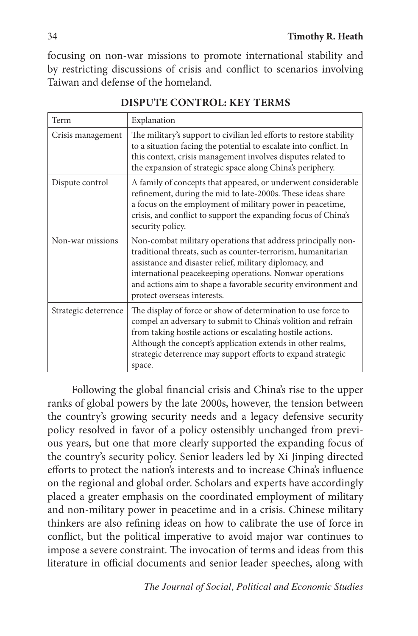focusing on non-war missions to promote international stability and by restricting discussions of crisis and conflict to scenarios involving Taiwan and defense of the homeland.

| Term                 | Explanation                                                                                                                                                                                                                                                                                                                                         |
|----------------------|-----------------------------------------------------------------------------------------------------------------------------------------------------------------------------------------------------------------------------------------------------------------------------------------------------------------------------------------------------|
| Crisis management    | The military's support to civilian led efforts to restore stability<br>to a situation facing the potential to escalate into conflict. In<br>this context, crisis management involves disputes related to<br>the expansion of strategic space along China's periphery.                                                                               |
| Dispute control      | A family of concepts that appeared, or underwent considerable<br>refinement, during the mid to late-2000s. These ideas share<br>a focus on the employment of military power in peacetime,<br>crisis, and conflict to support the expanding focus of China's<br>security policy.                                                                     |
| Non-war missions     | Non-combat military operations that address principally non-<br>traditional threats, such as counter-terrorism, humanitarian<br>assistance and disaster relief, military diplomacy, and<br>international peacekeeping operations. Nonwar operations<br>and actions aim to shape a favorable security environment and<br>protect overseas interests. |
| Strategic deterrence | The display of force or show of determination to use force to<br>compel an adversary to submit to China's volition and refrain<br>from taking hostile actions or escalating hostile actions.<br>Although the concept's application extends in other realms,<br>strategic deterrence may support efforts to expand strategic<br>space.               |

**DISPUTE CONTROL: KEY TERMS**

Following the global financial crisis and China's rise to the upper ranks of global powers by the late 2000s, however, the tension between the country's growing security needs and a legacy defensive security policy resolved in favor of a policy ostensibly unchanged from previous years, but one that more clearly supported the expanding focus of the country's security policy. Senior leaders led by Xi Jinping directed efforts to protect the nation's interests and to increase China's influence on the regional and global order. Scholars and experts have accordingly placed a greater emphasis on the coordinated employment of military and non-military power in peacetime and in a crisis. Chinese military thinkers are also refining ideas on how to calibrate the use of force in conflict, but the political imperative to avoid major war continues to impose a severe constraint. The invocation of terms and ideas from this literature in official documents and senior leader speeches, along with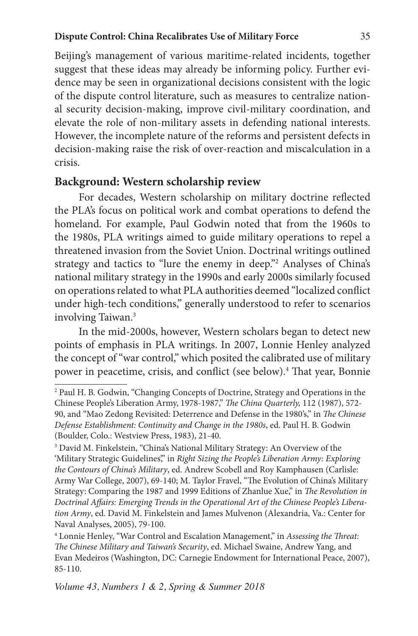#### **Dispute Control: China Recalibrates Use of Military Force** 35

Beijing's management of various maritime-related incidents, together suggest that these ideas may already be informing policy. Further evidence may be seen in organizational decisions consistent with the logic of the dispute control literature, such as measures to centralize national security decision-making, improve civil-military coordination, and elevate the role of non-military assets in defending national interests. However, the incomplete nature of the reforms and persistent defects in decision-making raise the risk of over-reaction and miscalculation in a crisis.

#### **Background: Western scholarship review**

For decades, Western scholarship on military doctrine reflected the PLA's focus on political work and combat operations to defend the homeland. For example, Paul Godwin noted that from the 1960s to the 1980s, PLA writings aimed to guide military operations to repel a threatened invasion from the Soviet Union. Doctrinal writings outlined strategy and tactics to "lure the enemy in deep."2 Analyses of China's national military strategy in the 1990s and early 2000s similarly focused on operations related to what PLA authorities deemed "localized conflict under high-tech conditions," generally understood to refer to scenarios involving Taiwan.3

In the mid-2000s, however, Western scholars began to detect new points of emphasis in PLA writings. In 2007, Lonnie Henley analyzed the concept of "war control," which posited the calibrated use of military power in peacetime, crisis, and conflict (see below).<sup>4</sup> That year, Bonnie

<sup>2</sup> Paul H. B. Godwin, "Changing Concepts of Doctrine, Strategy and Operations in the Chinese People's Liberation Army, 1978-1987," *The China Quarterly,* 112 (1987), 572- 90, and "Mao Zedong Revisited: Deterrence and Defense in the 1980's," in *The Chinese Defense Establishment: Continuity and Change in the 1980s*, ed. Paul H. B. Godwin (Boulder, Colo.: Westview Press, 1983), 21-40.

<sup>&</sup>lt;sup>3</sup> David M. Finkelstein, "China's National Military Strategy: An Overview of the 'Military Strategic Guidelines'," in *Right Sizing the People's Liberation Army: Exploring the Contours of China's Military*, ed. Andrew Scobell and Roy Kamphausen (Carlisle: Army War College, 2007), 69-140; M. Taylor Fravel, "The Evolution of China's Military Strategy: Comparing the 1987 and 1999 Editions of Zhanlue Xue," in *The Revolution in Doctrinal Affairs: Emerging Trends in the Operational Art of the Chinese People's Liberation Army*, ed. David M. Finkelstein and James Mulvenon (Alexandria, Va.: Center for Naval Analyses, 2005), 79-100.

<sup>4</sup> Lonnie Henley, "War Control and Escalation Management," in *Assessing the Threat: The Chinese Military and Taiwan's Security*, ed. Michael Swaine, Andrew Yang, and Evan Medeiros (Washington, DC: Carnegie Endowment for International Peace, 2007), 85-110.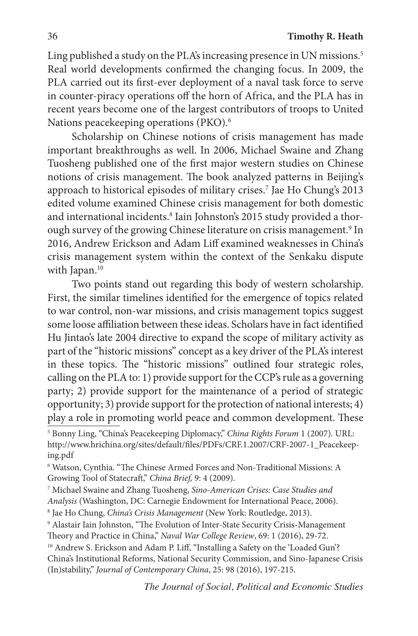Ling published a study on the PLA's increasing presence in UN missions.<sup>5</sup> Real world developments confirmed the changing focus. In 2009, the PLA carried out its first-ever deployment of a naval task force to serve in counter-piracy operations off the horn of Africa, and the PLA has in recent years become one of the largest contributors of troops to United Nations peacekeeping operations (PKO).<sup>6</sup>

Scholarship on Chinese notions of crisis management has made important breakthroughs as well. In 2006, Michael Swaine and Zhang Tuosheng published one of the first major western studies on Chinese notions of crisis management. The book analyzed patterns in Beijing's approach to historical episodes of military crises.7 Jae Ho Chung's 2013 edited volume examined Chinese crisis management for both domestic and international incidents.<sup>8</sup> Iain Johnston's 2015 study provided a thorough survey of the growing Chinese literature on crisis management.<sup>9</sup> In 2016, Andrew Erickson and Adam Liff examined weaknesses in China's crisis management system within the context of the Senkaku dispute with Japan.<sup>10</sup>

Two points stand out regarding this body of western scholarship. First, the similar timelines identified for the emergence of topics related to war control, non-war missions, and crisis management topics suggest some loose affiliation between these ideas. Scholars have in fact identified Hu Jintao's late 2004 directive to expand the scope of military activity as part of the "historic missions" concept as a key driver of the PLA's interest in these topics. The "historic missions" outlined four strategic roles, calling on the PLA to: 1) provide support for the CCP's rule as a governing party; 2) provide support for the maintenance of a period of strategic opportunity; 3) provide support for the protection of national interests; 4) play a role in promoting world peace and common development. These

<sup>5</sup> Bonny Ling, "China's Peacekeeping Diplomacy," *China Rights Forum* 1 (2007). URL: http://www.hrichina.org/sites/default/files/PDFs/CRF.1.2007/CRF-2007-1\_Peacekeeping.pdf

<sup>6</sup> Watson, Cynthia. "The Chinese Armed Forces and Non-Traditional Missions: A Growing Tool of Statecraft," *China Brief,* 9: 4 (2009).

<sup>7</sup> Michael Swaine and Zhang Tuosheng, *Sino-American Crises: Case Studies and Analysis* (Washington, DC: Carnegie Endowment for International Peace, 2006). 8 Jae Ho Chung, *China's Crisis Management* (New York: Routledge, 2013).

<sup>9</sup> Alastair Iain Johnston, "The Evolution of Inter-State Security Crisis-Management Theory and Practice in China," *Naval War College Review*, 69: 1 (2016), 29-72.

<sup>&</sup>lt;sup>10</sup> Andrew S. Erickson and Adam P. Liff, "Installing a Safety on the 'Loaded Gun'? China's Institutional Reforms, National Security Commission, and Sino-Japanese Crisis (In)stability," *Journal of Contemporary China*, 25: 98 (2016), 197-215.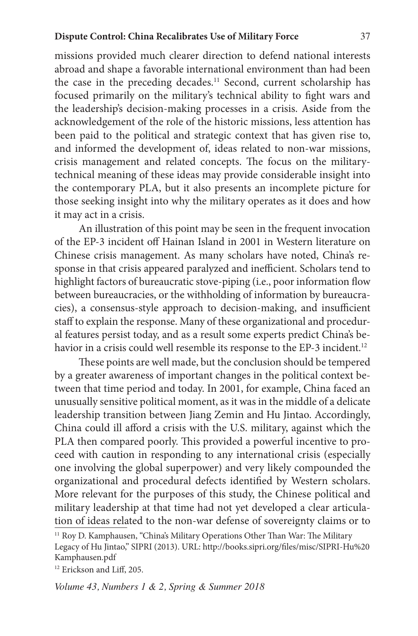missions provided much clearer direction to defend national interests abroad and shape a favorable international environment than had been the case in the preceding decades.<sup>11</sup> Second, current scholarship has focused primarily on the military's technical ability to fight wars and the leadership's decision-making processes in a crisis. Aside from the acknowledgement of the role of the historic missions, less attention has been paid to the political and strategic context that has given rise to, and informed the development of, ideas related to non-war missions, crisis management and related concepts. The focus on the militarytechnical meaning of these ideas may provide considerable insight into the contemporary PLA, but it also presents an incomplete picture for those seeking insight into why the military operates as it does and how it may act in a crisis.

An illustration of this point may be seen in the frequent invocation of the EP-3 incident off Hainan Island in 2001 in Western literature on Chinese crisis management. As many scholars have noted, China's response in that crisis appeared paralyzed and inefficient. Scholars tend to highlight factors of bureaucratic stove-piping (i.e., poor information flow between bureaucracies, or the withholding of information by bureaucracies), a consensus-style approach to decision-making, and insufficient staff to explain the response. Many of these organizational and procedural features persist today, and as a result some experts predict China's behavior in a crisis could well resemble its response to the EP-3 incident.<sup>12</sup>

These points are well made, but the conclusion should be tempered by a greater awareness of important changes in the political context between that time period and today. In 2001, for example, China faced an unusually sensitive political moment, as it was in the middle of a delicate leadership transition between Jiang Zemin and Hu Jintao. Accordingly, China could ill afford a crisis with the U.S. military, against which the PLA then compared poorly. This provided a powerful incentive to proceed with caution in responding to any international crisis (especially one involving the global superpower) and very likely compounded the organizational and procedural defects identified by Western scholars. More relevant for the purposes of this study, the Chinese political and military leadership at that time had not yet developed a clear articulation of ideas related to the non-war defense of sovereignty claims or to

<sup>11</sup> Roy D. Kamphausen, "China's Military Operations Other Than War: The Military Legacy of Hu Jintao," SIPRI (2013). URL: http://books.sipri.org/files/misc/SIPRI-Hu%20 Kamphausen.pdf

<sup>12</sup> Erickson and Liff, 205.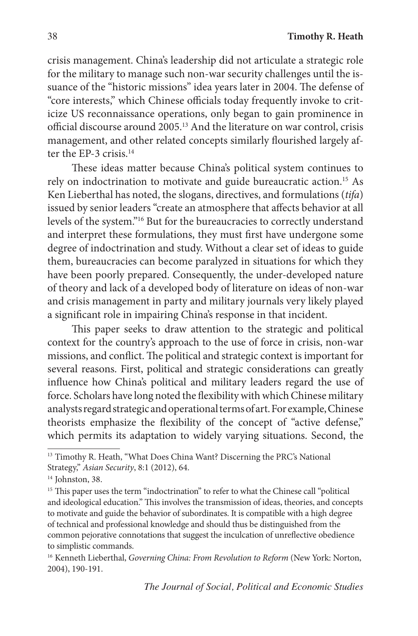crisis management. China's leadership did not articulate a strategic role for the military to manage such non-war security challenges until the issuance of the "historic missions" idea years later in 2004. The defense of "core interests," which Chinese officials today frequently invoke to criticize US reconnaissance operations, only began to gain prominence in official discourse around 2005.13 And the literature on war control, crisis management, and other related concepts similarly flourished largely after the EP-3 crisis.<sup>14</sup>

These ideas matter because China's political system continues to rely on indoctrination to motivate and guide bureaucratic action.15 As Ken Lieberthal has noted, the slogans, directives, and formulations (*tifa*) issued by senior leaders "create an atmosphere that affects behavior at all levels of the system."16 But for the bureaucracies to correctly understand and interpret these formulations, they must first have undergone some degree of indoctrination and study. Without a clear set of ideas to guide them, bureaucracies can become paralyzed in situations for which they have been poorly prepared. Consequently, the under-developed nature of theory and lack of a developed body of literature on ideas of non-war and crisis management in party and military journals very likely played a significant role in impairing China's response in that incident.

This paper seeks to draw attention to the strategic and political context for the country's approach to the use of force in crisis, non-war missions, and conflict. The political and strategic context is important for several reasons. First, political and strategic considerations can greatly influence how China's political and military leaders regard the use of force. Scholars have long noted the flexibility with which Chinese military analysts regard strategic and operational terms of art. For example, Chinese theorists emphasize the flexibility of the concept of "active defense," which permits its adaptation to widely varying situations. Second, the

<sup>&</sup>lt;sup>13</sup> Timothy R. Heath, "What Does China Want? Discerning the PRC's National Strategy," *Asian Security*, 8:1 (2012), 64.

<sup>&</sup>lt;sup>14</sup> Johnston, 38.

<sup>&</sup>lt;sup>15</sup> This paper uses the term "indoctrination" to refer to what the Chinese call "political and ideological education." This involves the transmission of ideas, theories, and concepts to motivate and guide the behavior of subordinates. It is compatible with a high degree of technical and professional knowledge and should thus be distinguished from the common pejorative connotations that suggest the inculcation of unreflective obedience to simplistic commands.

<sup>16</sup> Kenneth Lieberthal, *Governing China: From Revolution to Reform* (New York: Norton, 2004), 190-191.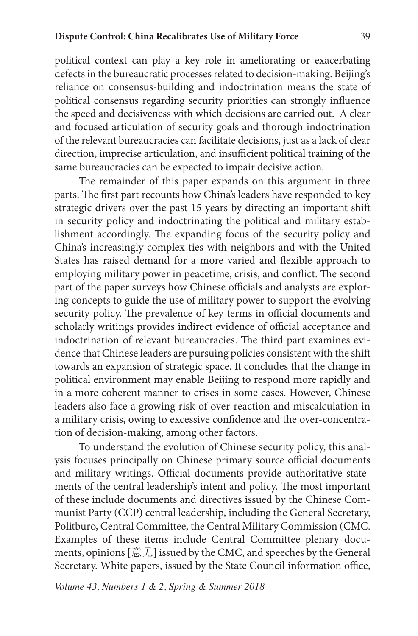political context can play a key role in ameliorating or exacerbating defects in the bureaucratic processes related to decision-making. Beijing's reliance on consensus-building and indoctrination means the state of political consensus regarding security priorities can strongly influence the speed and decisiveness with which decisions are carried out. A clear and focused articulation of security goals and thorough indoctrination of the relevant bureaucracies can facilitate decisions, just as a lack of clear direction, imprecise articulation, and insufficient political training of the same bureaucracies can be expected to impair decisive action.

The remainder of this paper expands on this argument in three parts. The first part recounts how China's leaders have responded to key strategic drivers over the past 15 years by directing an important shift in security policy and indoctrinating the political and military establishment accordingly. The expanding focus of the security policy and China's increasingly complex ties with neighbors and with the United States has raised demand for a more varied and flexible approach to employing military power in peacetime, crisis, and conflict. The second part of the paper surveys how Chinese officials and analysts are exploring concepts to guide the use of military power to support the evolving security policy. The prevalence of key terms in official documents and scholarly writings provides indirect evidence of official acceptance and indoctrination of relevant bureaucracies. The third part examines evidence that Chinese leaders are pursuing policies consistent with the shift towards an expansion of strategic space. It concludes that the change in political environment may enable Beijing to respond more rapidly and in a more coherent manner to crises in some cases. However, Chinese leaders also face a growing risk of over-reaction and miscalculation in a military crisis, owing to excessive confidence and the over-concentration of decision-making, among other factors.

To understand the evolution of Chinese security policy, this analysis focuses principally on Chinese primary source official documents and military writings. Official documents provide authoritative statements of the central leadership's intent and policy. The most important of these include documents and directives issued by the Chinese Communist Party (CCP) central leadership, including the General Secretary, Politburo, Central Committee, the Central Military Commission (CMC. Examples of these items include Central Committee plenary documents, opinions  $[\Xi \mathcal{R}]$  issued by the CMC, and speeches by the General Secretary. White papers, issued by the State Council information office,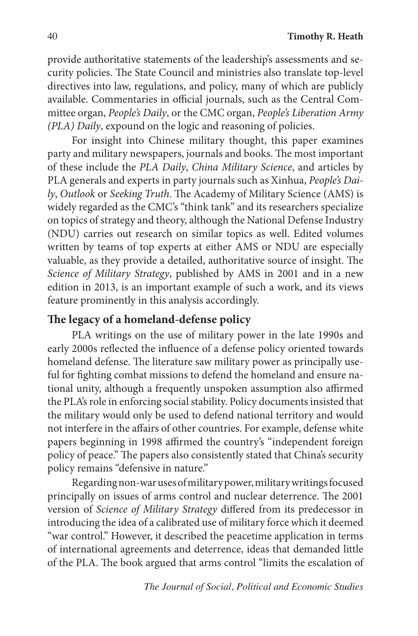provide authoritative statements of the leadership's assessments and security policies. The State Council and ministries also translate top-level directives into law, regulations, and policy, many of which are publicly available. Commentaries in official journals, such as the Central Committee organ, *People's Daily*, or the CMC organ, *People's Liberation Army (PLA) Daily*, expound on the logic and reasoning of policies.

For insight into Chinese military thought, this paper examines party and military newspapers, journals and books. The most important of these include the *PLA Daily*, *China Military Science*, and articles by PLA generals and experts in party journals such as Xinhua, *People's Daily*, *Outlook* or *Seeking Truth*. The Academy of Military Science (AMS) is widely regarded as the CMC's "think tank" and its researchers specialize on topics of strategy and theory, although the National Defense Industry (NDU) carries out research on similar topics as well. Edited volumes written by teams of top experts at either AMS or NDU are especially valuable, as they provide a detailed, authoritative source of insight. The *Science of Military Strategy*, published by AMS in 2001 and in a new edition in 2013, is an important example of such a work, and its views feature prominently in this analysis accordingly.

### **The legacy of a homeland-defense policy**

PLA writings on the use of military power in the late 1990s and early 2000s reflected the influence of a defense policy oriented towards homeland defense. The literature saw military power as principally useful for fighting combat missions to defend the homeland and ensure national unity, although a frequently unspoken assumption also affirmed the PLA's role in enforcing social stability. Policy documents insisted that the military would only be used to defend national territory and would not interfere in the affairs of other countries. For example, defense white papers beginning in 1998 affirmed the country's "independent foreign policy of peace." The papers also consistently stated that China's security policy remains "defensive in nature."

Regarding non-war uses of military power, military writings focused principally on issues of arms control and nuclear deterrence. The 2001 version of *Science of Military Strategy* differed from its predecessor in introducing the idea of a calibrated use of military force which it deemed "war control." However, it described the peacetime application in terms of international agreements and deterrence, ideas that demanded little of the PLA. The book argued that arms control "limits the escalation of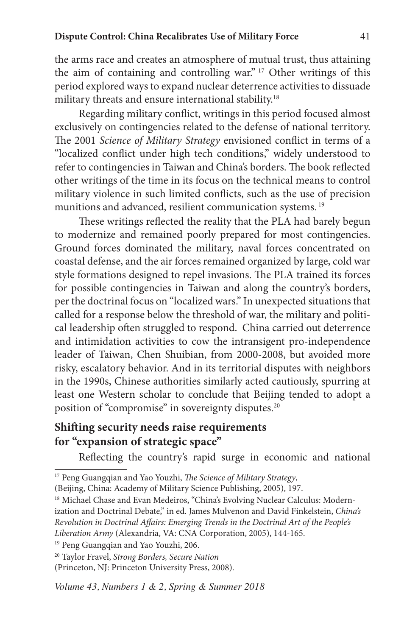the arms race and creates an atmosphere of mutual trust, thus attaining the aim of containing and controlling war." 17 Other writings of this period explored ways to expand nuclear deterrence activities to dissuade military threats and ensure international stability.18

Regarding military conflict, writings in this period focused almost exclusively on contingencies related to the defense of national territory. The 2001 *Science of Military Strategy* envisioned conflict in terms of a "localized conflict under high tech conditions," widely understood to refer to contingencies in Taiwan and China's borders. The book reflected other writings of the time in its focus on the technical means to control military violence in such limited conflicts, such as the use of precision munitions and advanced, resilient communication systems. <sup>19</sup>

These writings reflected the reality that the PLA had barely begun to modernize and remained poorly prepared for most contingencies. Ground forces dominated the military, naval forces concentrated on coastal defense, and the air forces remained organized by large, cold war style formations designed to repel invasions. The PLA trained its forces for possible contingencies in Taiwan and along the country's borders, per the doctrinal focus on "localized wars." In unexpected situations that called for a response below the threshold of war, the military and political leadership often struggled to respond. China carried out deterrence and intimidation activities to cow the intransigent pro-independence leader of Taiwan, Chen Shuibian, from 2000-2008, but avoided more risky, escalatory behavior. And in its territorial disputes with neighbors in the 1990s, Chinese authorities similarly acted cautiously, spurring at least one Western scholar to conclude that Beijing tended to adopt a position of "compromise" in sovereignty disputes.<sup>20</sup>

## **Shifting security needs raise requirements for "expansion of strategic space"**

Reflecting the country's rapid surge in economic and national

<sup>17</sup> Peng Guangqian and Yao Youzhi, *The Science of Military Strategy*,

<sup>(</sup>Beijing, China: Academy of Military Science Publishing, 2005), 197.

<sup>&</sup>lt;sup>18</sup> Michael Chase and Evan Medeiros, "China's Evolving Nuclear Calculus: Modernization and Doctrinal Debate," in ed. James Mulvenon and David Finkelstein, *China's Revolution in Doctrinal Affairs: Emerging Trends in the Doctrinal Art of the People's Liberation Army* (Alexandria, VA: CNA Corporation, 2005), 144-165.

<sup>19</sup> Peng Guangqian and Yao Youzhi, 206.

<sup>20</sup> Taylor Fravel, *Strong Borders, Secure Nation*

<sup>(</sup>Princeton, NJ: Princeton University Press, 2008).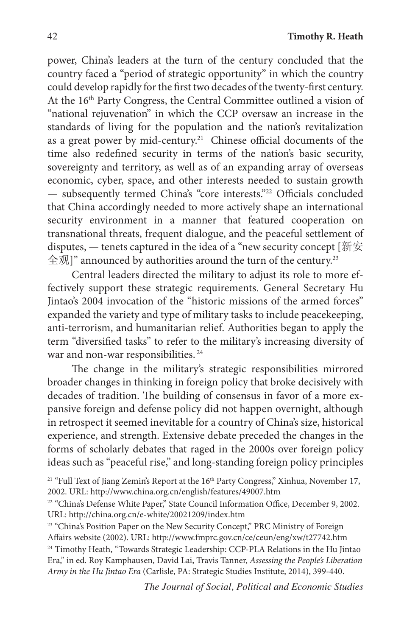power, China's leaders at the turn of the century concluded that the country faced a "period of strategic opportunity" in which the country could develop rapidly for the first two decades of the twenty-first century. At the 16<sup>th</sup> Party Congress, the Central Committee outlined a vision of "national rejuvenation" in which the CCP oversaw an increase in the standards of living for the population and the nation's revitalization as a great power by mid-century.<sup>21</sup> Chinese official documents of the time also redefined security in terms of the nation's basic security, sovereignty and territory, as well as of an expanding array of overseas economic, cyber, space, and other interests needed to sustain growth — subsequently termed China's "core interests."22 Officials concluded that China accordingly needed to more actively shape an international security environment in a manner that featured cooperation on transnational threats, frequent dialogue, and the peaceful settlement of disputes, — tenets captured in the idea of a "new security concept [新安 全观]" announced by authorities around the turn of the century.23

Central leaders directed the military to adjust its role to more effectively support these strategic requirements. General Secretary Hu Jintao's 2004 invocation of the "historic missions of the armed forces" expanded the variety and type of military tasks to include peacekeeping, anti-terrorism, and humanitarian relief. Authorities began to apply the term "diversified tasks" to refer to the military's increasing diversity of war and non-war responsibilities.<sup>24</sup>

The change in the military's strategic responsibilities mirrored broader changes in thinking in foreign policy that broke decisively with decades of tradition. The building of consensus in favor of a more expansive foreign and defense policy did not happen overnight, although in retrospect it seemed inevitable for a country of China's size, historical experience, and strength. Extensive debate preceded the changes in the forms of scholarly debates that raged in the 2000s over foreign policy ideas such as "peaceful rise," and long-standing foreign policy principles

<sup>23</sup> "China's Position Paper on the New Security Concept," PRC Ministry of Foreign Affairs website (2002). URL: http://www.fmprc.gov.cn/ce/ceun/eng/xw/t27742.htm <sup>24</sup> Timothy Heath, "Towards Strategic Leadership: CCP-PLA Relations in the Hu Jintao Era," in ed. Roy Kamphausen, David Lai, Travis Tanner, *Assessing the People's Liberation Army in the Hu Jintao Era* (Carlisle, PA: Strategic Studies Institute, 2014), 399-440.

<sup>&</sup>lt;sup>21</sup> "Full Text of Jiang Zemin's Report at the 16<sup>th</sup> Party Congress," Xinhua, November 17, 2002. URL: http://www.china.org.cn/english/features/49007.htm

<sup>&</sup>lt;sup>22</sup> "China's Defense White Paper," State Council Information Office, December 9, 2002. URL: http://china.org.cn/e-white/20021209/index.htm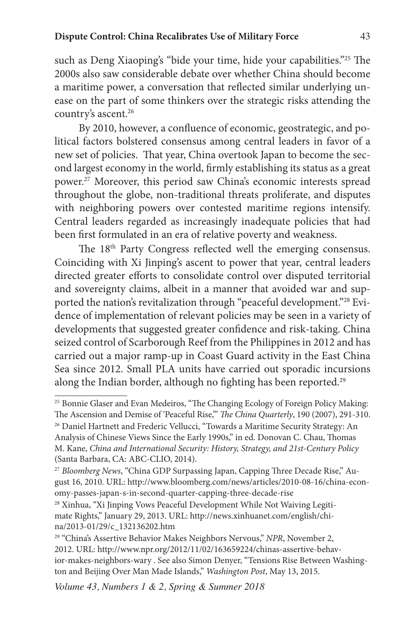#### **Dispute Control: China Recalibrates Use of Military Force** 43

such as Deng Xiaoping's "bide your time, hide your capabilities."25 The 2000s also saw considerable debate over whether China should become a maritime power, a conversation that reflected similar underlying unease on the part of some thinkers over the strategic risks attending the country's ascent.<sup>26</sup>

By 2010, however, a confluence of economic, geostrategic, and political factors bolstered consensus among central leaders in favor of a new set of policies. That year, China overtook Japan to become the second largest economy in the world, firmly establishing its status as a great power.27 Moreover, this period saw China's economic interests spread throughout the globe, non-traditional threats proliferate, and disputes with neighboring powers over contested maritime regions intensify. Central leaders regarded as increasingly inadequate policies that had been first formulated in an era of relative poverty and weakness.

The 18<sup>th</sup> Party Congress reflected well the emerging consensus. Coinciding with Xi Jinping's ascent to power that year, central leaders directed greater efforts to consolidate control over disputed territorial and sovereignty claims, albeit in a manner that avoided war and supported the nation's revitalization through "peaceful development."28 Evidence of implementation of relevant policies may be seen in a variety of developments that suggested greater confidence and risk-taking. China seized control of Scarborough Reef from the Philippines in 2012 and has carried out a major ramp-up in Coast Guard activity in the East China Sea since 2012. Small PLA units have carried out sporadic incursions along the Indian border, although no fighting has been reported.<sup>29</sup>

<sup>25</sup> Bonnie Glaser and Evan Medeiros, "The Changing Ecology of Foreign Policy Making: The Ascension and Demise of 'Peaceful Rise,'" *The China Quarterly*, 190 (2007), 291-310.

<sup>&</sup>lt;sup>26</sup> Daniel Hartnett and Frederic Vellucci, "Towards a Maritime Security Strategy: An Analysis of Chinese Views Since the Early 1990s," in ed. Donovan C. Chau, Thomas M. Kane, *China and International Security: History, Strategy, and 21st-Century Policy* (Santa Barbara, CA: ABC-CLIO, 2014).

<sup>27</sup> *Bloomberg News*, "China GDP Surpassing Japan, Capping Three Decade Rise," August 16, 2010. URL: http://www.bloomberg.com/news/articles/2010-08-16/china-economy-passes-japan-s-in-second-quarter-capping-three-decade-rise

<sup>&</sup>lt;sup>28</sup> Xinhua, "Xi Jinping Vows Peaceful Development While Not Waiving Legitimate Rights," January 29, 2013. URL: http://news.xinhuanet.com/english/china/2013-01/29/c\_132136202.htm

<sup>29</sup> "China's Assertive Behavior Makes Neighbors Nervous," *NPR*, November 2, 2012. URL: http://www.npr.org/2012/11/02/163659224/chinas-assertive-behavior-makes-neighbors-wary . See also Simon Denyer, "Tensions Rise Between Washington and Beijing Over Man Made Islands," *Washington Post*, May 13, 2015.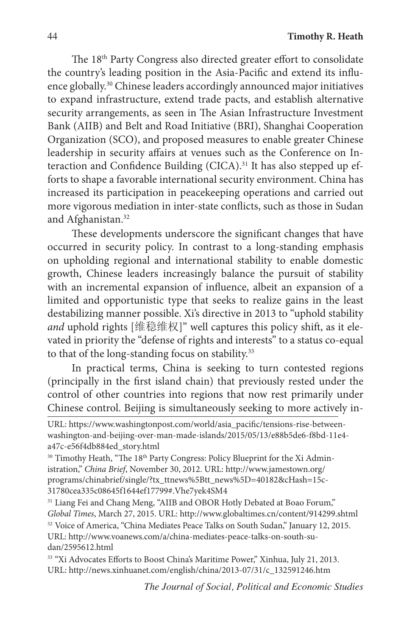The 18th Party Congress also directed greater effort to consolidate the country's leading position in the Asia-Pacific and extend its influence globally.30 Chinese leaders accordingly announced major initiatives to expand infrastructure, extend trade pacts, and establish alternative security arrangements, as seen in The Asian Infrastructure Investment Bank (AIIB) and Belt and Road Initiative (BRI), Shanghai Cooperation Organization (SCO), and proposed measures to enable greater Chinese leadership in security affairs at venues such as the Conference on Interaction and Confidence Building (CICA).<sup>31</sup> It has also stepped up efforts to shape a favorable international security environment. China has increased its participation in peacekeeping operations and carried out more vigorous mediation in inter-state conflicts, such as those in Sudan and Afghanistan.<sup>32</sup>

These developments underscore the significant changes that have occurred in security policy. In contrast to a long-standing emphasis on upholding regional and international stability to enable domestic growth, Chinese leaders increasingly balance the pursuit of stability with an incremental expansion of influence, albeit an expansion of a limited and opportunistic type that seeks to realize gains in the least destabilizing manner possible. Xi's directive in 2013 to "uphold stability *and* uphold rights [维稳维权]" well captures this policy shift, as it elevated in priority the "defense of rights and interests" to a status co-equal to that of the long-standing focus on stability.<sup>33</sup>

In practical terms, China is seeking to turn contested regions (principally in the first island chain) that previously rested under the control of other countries into regions that now rest primarily under Chinese control. Beijing is simultaneously seeking to more actively in-

<sup>30</sup> Timothy Heath, "The 18<sup>th</sup> Party Congress: Policy Blueprint for the Xi Administration," *China Brief*, November 30, 2012. URL: http://www.jamestown.org/ programs/chinabrief/single/?tx\_ttnews%5Btt\_news%5D=40182&cHash=15c-31780cea335c08645f1644ef17799#.Vhe7yek4SM4

<sup>31</sup> Liang Fei and Chang Meng, "AIIB and OBOR Hotly Debated at Boao Forum," *Global Times*, March 27, 2015. URL: http://www.globaltimes.cn/content/914299.shtml <sup>32</sup> Voice of America, "China Mediates Peace Talks on South Sudan," January 12, 2015. URL: http://www.voanews.com/a/china-mediates-peace-talks-on-south-sudan/2595612.html

<sup>33</sup> "Xi Advocates Efforts to Boost China's Maritime Power," Xinhua, July 21, 2013. URL: http://news.xinhuanet.com/english/china/2013-07/31/c\_132591246.htm

URL: https://www.washingtonpost.com/world/asia\_pacific/tensions-rise-betweenwashington-and-beijing-over-man-made-islands/2015/05/13/e88b5de6-f8bd-11e4 a47c-e56f4db884ed\_story.html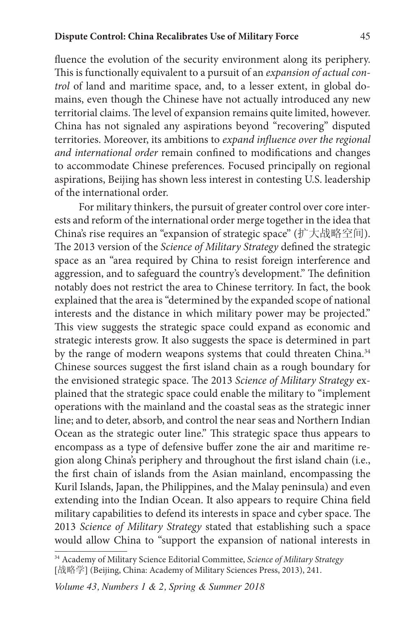fluence the evolution of the security environment along its periphery. This is functionally equivalent to a pursuit of an *expansion of actual control* of land and maritime space, and, to a lesser extent, in global domains, even though the Chinese have not actually introduced any new territorial claims. The level of expansion remains quite limited, however. China has not signaled any aspirations beyond "recovering" disputed territories. Moreover, its ambitions to *expand influence over the regional and international order* remain confined to modifications and changes to accommodate Chinese preferences. Focused principally on regional aspirations, Beijing has shown less interest in contesting U.S. leadership of the international order.

For military thinkers, the pursuit of greater control over core interests and reform of the international order merge together in the idea that China's rise requires an "expansion of strategic space" (扩大战略空间). The 2013 version of the *Science of Military Strategy* defined the strategic space as an "area required by China to resist foreign interference and aggression, and to safeguard the country's development." The definition notably does not restrict the area to Chinese territory. In fact, the book explained that the area is "determined by the expanded scope of national interests and the distance in which military power may be projected." This view suggests the strategic space could expand as economic and strategic interests grow. It also suggests the space is determined in part by the range of modern weapons systems that could threaten China.<sup>34</sup> Chinese sources suggest the first island chain as a rough boundary for the envisioned strategic space. The 2013 *Science of Military Strategy* explained that the strategic space could enable the military to "implement operations with the mainland and the coastal seas as the strategic inner line; and to deter, absorb, and control the near seas and Northern Indian Ocean as the strategic outer line." This strategic space thus appears to encompass as a type of defensive buffer zone the air and maritime region along China's periphery and throughout the first island chain (i.e., the first chain of islands from the Asian mainland, encompassing the Kuril Islands, Japan, the Philippines, and the Malay peninsula) and even extending into the Indian Ocean. It also appears to require China field military capabilities to defend its interests in space and cyber space. The 2013 *Science of Military Strategy* stated that establishing such a space would allow China to "support the expansion of national interests in

<sup>34</sup> Academy of Military Science Editorial Committee, *Science of Military Strategy* [战略学] (Beijing, China: Academy of Military Sciences Press, 2013), 241.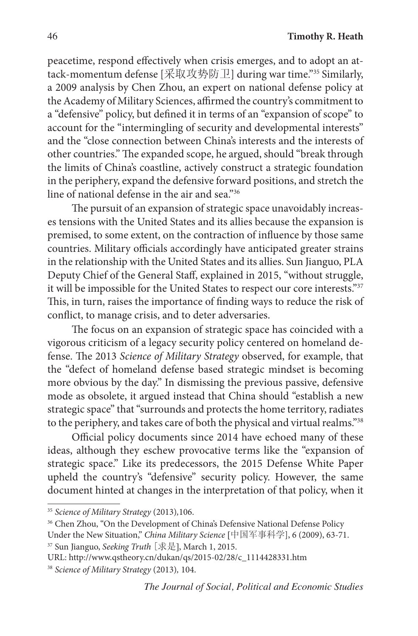peacetime, respond effectively when crisis emerges, and to adopt an attack-momentum defense [采取攻势防卫] during war time."<sup>35</sup> Similarly, a 2009 analysis by Chen Zhou, an expert on national defense policy at the Academy of Military Sciences, affirmed the country's commitment to a "defensive" policy, but defined it in terms of an "expansion of scope" to account for the "intermingling of security and developmental interests" and the "close connection between China's interests and the interests of other countries." The expanded scope, he argued, should "break through the limits of China's coastline, actively construct a strategic foundation in the periphery, expand the defensive forward positions, and stretch the line of national defense in the air and sea."36

The pursuit of an expansion of strategic space unavoidably increases tensions with the United States and its allies because the expansion is premised, to some extent, on the contraction of influence by those same countries. Military officials accordingly have anticipated greater strains in the relationship with the United States and its allies. Sun Jianguo, PLA Deputy Chief of the General Staff, explained in 2015, "without struggle, it will be impossible for the United States to respect our core interests."37 This, in turn, raises the importance of finding ways to reduce the risk of conflict, to manage crisis, and to deter adversaries.

The focus on an expansion of strategic space has coincided with a vigorous criticism of a legacy security policy centered on homeland defense. The 2013 *Science of Military Strategy* observed, for example, that the "defect of homeland defense based strategic mindset is becoming more obvious by the day." In dismissing the previous passive, defensive mode as obsolete, it argued instead that China should "establish a new strategic space" that "surrounds and protects the home territory, radiates to the periphery, and takes care of both the physical and virtual realms."38

Official policy documents since 2014 have echoed many of these ideas, although they eschew provocative terms like the "expansion of strategic space." Like its predecessors, the 2015 Defense White Paper upheld the country's "defensive" security policy. However, the same document hinted at changes in the interpretation of that policy, when it

<sup>35</sup> *Science of Military Strategy* (2013)*,*106.

<sup>&</sup>lt;sup>36</sup> Chen Zhou, "On the Development of China's Defensive National Defense Policy

Under the New Situation," *China Military Science* [中国军事科学], 6 (2009), 63-71.

<sup>37</sup> Sun Jianguo, *Seeking Truth* [求是], March 1, 2015.

URL: http://www.qstheory.cn/dukan/qs/2015-02/28/c\_1114428331.htm

<sup>38</sup> *Science of Military Strategy* (2013)*,* 104.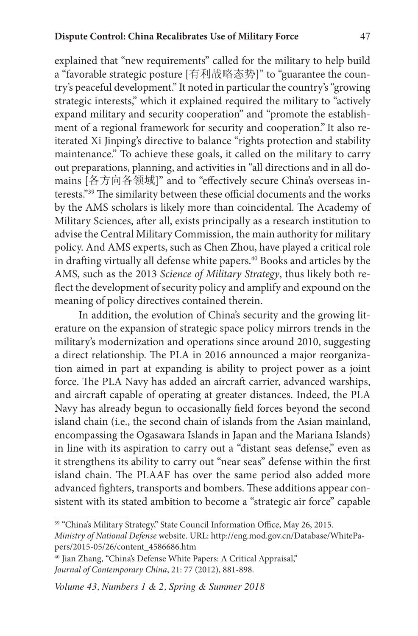explained that "new requirements" called for the military to help build a "favorable strategic posture [有利战略态势]" to "guarantee the country's peaceful development." It noted in particular the country's "growing strategic interests," which it explained required the military to "actively expand military and security cooperation" and "promote the establishment of a regional framework for security and cooperation." It also reiterated Xi Jinping's directive to balance "rights protection and stability maintenance." To achieve these goals, it called on the military to carry out preparations, planning, and activities in "all directions and in all domains [各方向各领域]" and to "effectively secure China's overseas interests."39 The similarity between these official documents and the works by the AMS scholars is likely more than coincidental. The Academy of Military Sciences, after all, exists principally as a research institution to advise the Central Military Commission, the main authority for military policy. And AMS experts, such as Chen Zhou, have played a critical role in drafting virtually all defense white papers.<sup>40</sup> Books and articles by the AMS, such as the 2013 *Science of Military Strategy*, thus likely both reflect the development of security policy and amplify and expound on the meaning of policy directives contained therein.

In addition, the evolution of China's security and the growing literature on the expansion of strategic space policy mirrors trends in the military's modernization and operations since around 2010, suggesting a direct relationship. The PLA in 2016 announced a major reorganization aimed in part at expanding is ability to project power as a joint force. The PLA Navy has added an aircraft carrier, advanced warships, and aircraft capable of operating at greater distances. Indeed, the PLA Navy has already begun to occasionally field forces beyond the second island chain (i.e., the second chain of islands from the Asian mainland, encompassing the Ogasawara Islands in Japan and the Mariana Islands) in line with its aspiration to carry out a "distant seas defense," even as it strengthens its ability to carry out "near seas" defense within the first island chain. The PLAAF has over the same period also added more advanced fighters, transports and bombers. These additions appear consistent with its stated ambition to become a "strategic air force" capable

<sup>39</sup> "China's Military Strategy," State Council Information Office, May 26, 2015. *Ministry of National Defense* website. URL: http://eng.mod.gov.cn/Database/WhitePapers/2015-05/26/content\_4586686.htm

<sup>&</sup>lt;sup>40</sup> Jian Zhang, "China's Defense White Papers: A Critical Appraisal," *Journal of Contemporary China*, 21: 77 (2012), 881-898.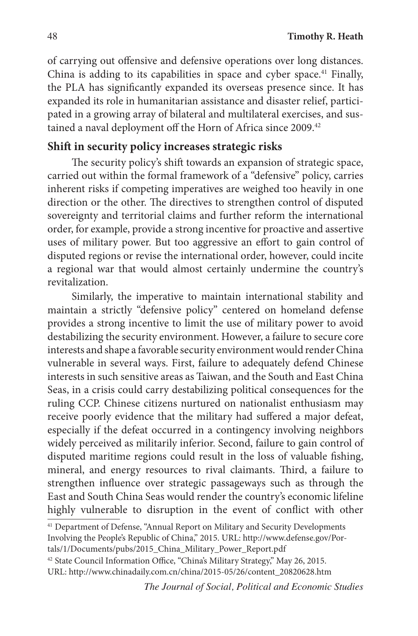of carrying out offensive and defensive operations over long distances. China is adding to its capabilities in space and cyber space.<sup>41</sup> Finally, the PLA has significantly expanded its overseas presence since. It has expanded its role in humanitarian assistance and disaster relief, participated in a growing array of bilateral and multilateral exercises, and sustained a naval deployment off the Horn of Africa since 2009.<sup>42</sup>

### **Shift in security policy increases strategic risks**

The security policy's shift towards an expansion of strategic space, carried out within the formal framework of a "defensive" policy, carries inherent risks if competing imperatives are weighed too heavily in one direction or the other. The directives to strengthen control of disputed sovereignty and territorial claims and further reform the international order, for example, provide a strong incentive for proactive and assertive uses of military power. But too aggressive an effort to gain control of disputed regions or revise the international order, however, could incite a regional war that would almost certainly undermine the country's revitalization.

Similarly, the imperative to maintain international stability and maintain a strictly "defensive policy" centered on homeland defense provides a strong incentive to limit the use of military power to avoid destabilizing the security environment. However, a failure to secure core interests and shape a favorable security environment would render China vulnerable in several ways. First, failure to adequately defend Chinese interests in such sensitive areas as Taiwan, and the South and East China Seas, in a crisis could carry destabilizing political consequences for the ruling CCP. Chinese citizens nurtured on nationalist enthusiasm may receive poorly evidence that the military had suffered a major defeat, especially if the defeat occurred in a contingency involving neighbors widely perceived as militarily inferior. Second, failure to gain control of disputed maritime regions could result in the loss of valuable fishing, mineral, and energy resources to rival claimants. Third, a failure to strengthen influence over strategic passageways such as through the East and South China Seas would render the country's economic lifeline highly vulnerable to disruption in the event of conflict with other

<sup>41</sup> Department of Defense, "Annual Report on Military and Security Developments Involving the People's Republic of China," 2015. URL: http://www.defense.gov/Por-

tals/1/Documents/pubs/2015\_China\_Military\_Power\_Report.pdf

<sup>42</sup> State Council Information Office, "China's Military Strategy," May 26, 2015. URL: http://www.chinadaily.com.cn/china/2015-05/26/content\_20820628.htm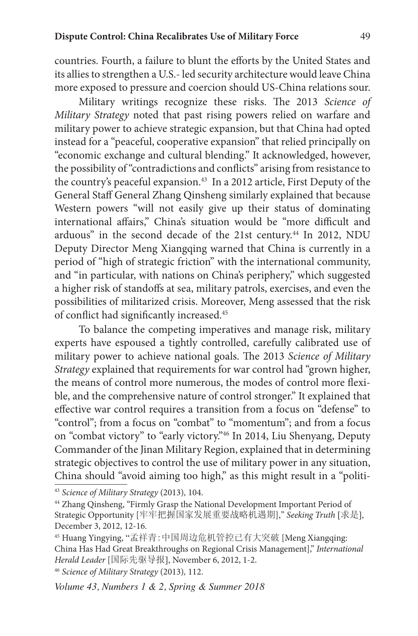countries. Fourth, a failure to blunt the efforts by the United States and its allies to strengthen a U.S.- led security architecture would leave China more exposed to pressure and coercion should US-China relations sour.

Military writings recognize these risks. The 2013 *Science of Military Strategy* noted that past rising powers relied on warfare and military power to achieve strategic expansion, but that China had opted instead for a "peaceful, cooperative expansion" that relied principally on "economic exchange and cultural blending." It acknowledged, however, the possibility of "contradictions and conflicts" arising from resistance to the country's peaceful expansion.<sup>43</sup> In a 2012 article, First Deputy of the General Staff General Zhang Qinsheng similarly explained that because Western powers "will not easily give up their status of dominating international affairs," China's situation would be "more difficult and arduous" in the second decade of the 21st century.44 In 2012, NDU Deputy Director Meng Xiangqing warned that China is currently in a period of "high of strategic friction" with the international community, and "in particular, with nations on China's periphery," which suggested a higher risk of standoffs at sea, military patrols, exercises, and even the possibilities of militarized crisis. Moreover, Meng assessed that the risk of conflict had significantly increased.<sup>45</sup>

To balance the competing imperatives and manage risk, military experts have espoused a tightly controlled, carefully calibrated use of military power to achieve national goals. The 2013 *Science of Military Strategy* explained that requirements for war control had "grown higher, the means of control more numerous, the modes of control more flexible, and the comprehensive nature of control stronger." It explained that effective war control requires a transition from a focus on "defense" to "control"; from a focus on "combat" to "momentum"; and from a focus on "combat victory" to "early victory."46 In 2014, Liu Shenyang, Deputy Commander of the Jinan Military Region, explained that in determining strategic objectives to control the use of military power in any situation, China should "avoid aiming too high," as this might result in a "politi-

<sup>43</sup> *Science of Military Strategy* (2013)*,* 104.

<sup>44</sup> Zhang Qinsheng, "Firmly Grasp the National Development Important Period of Strategic Opportunity [牢牢把握国家发展重要战略机遇期]," *Seeking Truth* [求是], December 3, 2012, 12-16.

<sup>45</sup> Huang Yingying, "孟祥青:中国周边危机管控已有大突破 [Meng Xiangqing: China Has Had Great Breakthroughs on Regional Crisis Management]," *International Herald Leader* [国际先驱导报], November 6, 2012, 1-2.

<sup>46</sup> *Science of Military Strategy* (2013)*,* 112.

*Volume 43, Numbers 1 & 2, Spring & Summer 2018*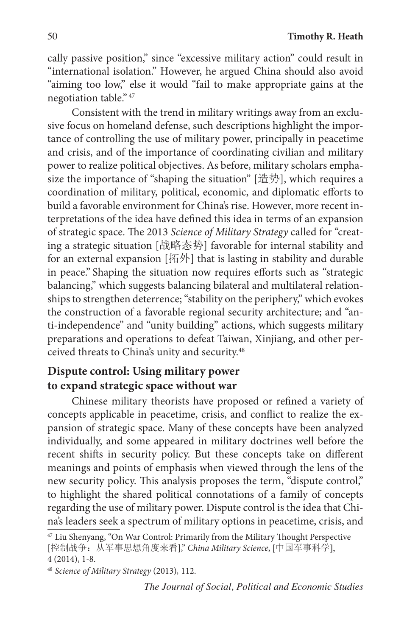cally passive position," since "excessive military action" could result in "international isolation." However, he argued China should also avoid "aiming too low," else it would "fail to make appropriate gains at the negotiation table." <sup>47</sup>

Consistent with the trend in military writings away from an exclusive focus on homeland defense, such descriptions highlight the importance of controlling the use of military power, principally in peacetime and crisis, and of the importance of coordinating civilian and military power to realize political objectives. As before, military scholars emphasize the importance of "shaping the situation" [造势], which requires a coordination of military, political, economic, and diplomatic efforts to build a favorable environment for China's rise. However, more recent interpretations of the idea have defined this idea in terms of an expansion of strategic space. The 2013 *Science of Military Strategy* called for "creating a strategic situation [战略态势] favorable for internal stability and for an external expansion [拓外] that is lasting in stability and durable in peace." Shaping the situation now requires efforts such as "strategic balancing," which suggests balancing bilateral and multilateral relationships to strengthen deterrence; "stability on the periphery," which evokes the construction of a favorable regional security architecture; and "anti-independence" and "unity building" actions, which suggests military preparations and operations to defeat Taiwan, Xinjiang, and other perceived threats to China's unity and security.<sup>48</sup>

# **Dispute control: Using military power to expand strategic space without war**

Chinese military theorists have proposed or refined a variety of concepts applicable in peacetime, crisis, and conflict to realize the expansion of strategic space. Many of these concepts have been analyzed individually, and some appeared in military doctrines well before the recent shifts in security policy. But these concepts take on different meanings and points of emphasis when viewed through the lens of the new security policy. This analysis proposes the term, "dispute control," to highlight the shared political connotations of a family of concepts regarding the use of military power. Dispute control is the idea that China's leaders seek a spectrum of military options in peacetime, crisis, and

*The Journal of Social, Political and Economic Studies*

<sup>47</sup> Liu Shenyang, "On War Control: Primarily from the Military Thought Perspective [控制战争:从军事思想角度来看]," *China Military Science*, [中国军事科学], 4 (2014), 1-8.

<sup>48</sup> *Science of Military Strategy* (2013)*,* 112.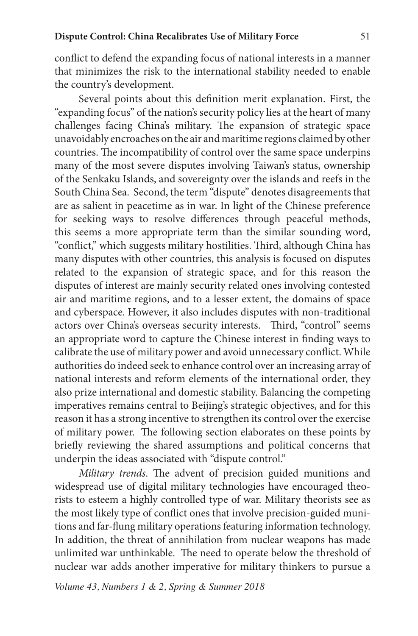conflict to defend the expanding focus of national interests in a manner that minimizes the risk to the international stability needed to enable the country's development.

Several points about this definition merit explanation. First, the "expanding focus" of the nation's security policy lies at the heart of many challenges facing China's military. The expansion of strategic space unavoidably encroaches on the air and maritime regions claimed by other countries. The incompatibility of control over the same space underpins many of the most severe disputes involving Taiwan's status, ownership of the Senkaku Islands, and sovereignty over the islands and reefs in the South China Sea. Second, the term "dispute" denotes disagreements that are as salient in peacetime as in war. In light of the Chinese preference for seeking ways to resolve differences through peaceful methods, this seems a more appropriate term than the similar sounding word, "conflict," which suggests military hostilities. Third, although China has many disputes with other countries, this analysis is focused on disputes related to the expansion of strategic space, and for this reason the disputes of interest are mainly security related ones involving contested air and maritime regions, and to a lesser extent, the domains of space and cyberspace. However, it also includes disputes with non-traditional actors over China's overseas security interests. Third, "control" seems an appropriate word to capture the Chinese interest in finding ways to calibrate the use of military power and avoid unnecessary conflict. While authorities do indeed seek to enhance control over an increasing array of national interests and reform elements of the international order, they also prize international and domestic stability. Balancing the competing imperatives remains central to Beijing's strategic objectives, and for this reason it has a strong incentive to strengthen its control over the exercise of military power. The following section elaborates on these points by briefly reviewing the shared assumptions and political concerns that underpin the ideas associated with "dispute control."

*Military trends*. The advent of precision guided munitions and widespread use of digital military technologies have encouraged theorists to esteem a highly controlled type of war. Military theorists see as the most likely type of conflict ones that involve precision-guided munitions and far-flung military operations featuring information technology. In addition, the threat of annihilation from nuclear weapons has made unlimited war unthinkable. The need to operate below the threshold of nuclear war adds another imperative for military thinkers to pursue a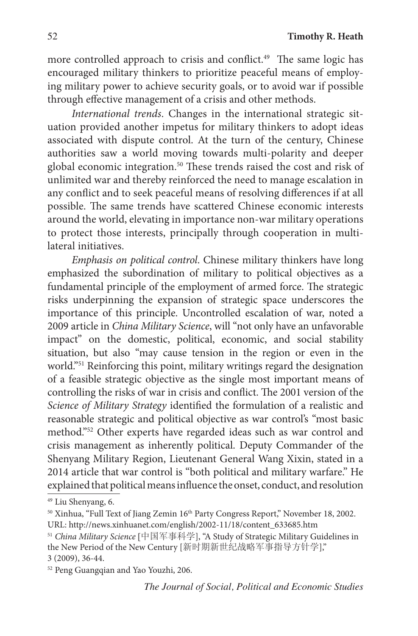more controlled approach to crisis and conflict.<sup>49</sup> The same logic has encouraged military thinkers to prioritize peaceful means of employing military power to achieve security goals, or to avoid war if possible through effective management of a crisis and other methods.

*International trends*. Changes in the international strategic situation provided another impetus for military thinkers to adopt ideas associated with dispute control. At the turn of the century, Chinese authorities saw a world moving towards multi-polarity and deeper global economic integration.<sup>50</sup> These trends raised the cost and risk of unlimited war and thereby reinforced the need to manage escalation in any conflict and to seek peaceful means of resolving differences if at all possible. The same trends have scattered Chinese economic interests around the world, elevating in importance non-war military operations to protect those interests, principally through cooperation in multilateral initiatives.

*Emphasis on political control*. Chinese military thinkers have long emphasized the subordination of military to political objectives as a fundamental principle of the employment of armed force. The strategic risks underpinning the expansion of strategic space underscores the importance of this principle. Uncontrolled escalation of war, noted a 2009 article in *China Military Science*, will "not only have an unfavorable impact" on the domestic, political, economic, and social stability situation, but also "may cause tension in the region or even in the world."51 Reinforcing this point, military writings regard the designation of a feasible strategic objective as the single most important means of controlling the risks of war in crisis and conflict. The 2001 version of the *Science of Military Strategy* identified the formulation of a realistic and reasonable strategic and political objective as war control's "most basic method."52 Other experts have regarded ideas such as war control and crisis management as inherently political. Deputy Commander of the Shenyang Military Region, Lieutenant General Wang Xixin, stated in a 2014 article that war control is "both political and military warfare." He explained that political means influence the onset, conduct, and resolution

<sup>52</sup> Peng Guangqian and Yao Youzhi, 206.

*The Journal of Social, Political and Economic Studies*

<sup>49</sup> Liu Shenyang, 6.

<sup>&</sup>lt;sup>50</sup> Xinhua, "Full Text of Jiang Zemin 16<sup>th</sup> Party Congress Report," November 18, 2002. URL: http://news.xinhuanet.com/english/2002-11/18/content\_633685.htm

<sup>51</sup> *China Military Science* [中国军事科学], "A Study of Strategic Military Guidelines in the New Period of the New Century [新时期新世纪战略军事指导方针学]," 3 (2009), 36-44.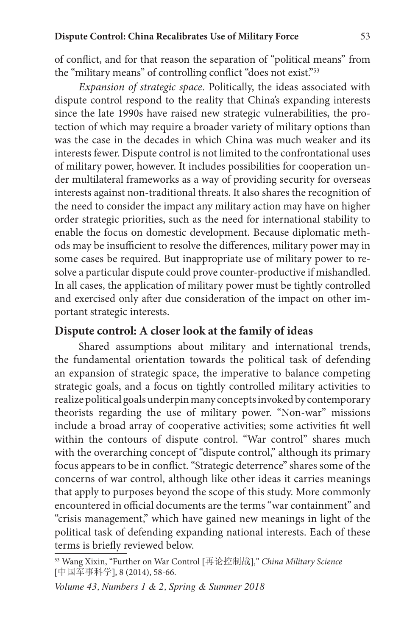of conflict, and for that reason the separation of "political means" from the "military means" of controlling conflict "does not exist."53

*Expansion of strategic space*. Politically, the ideas associated with dispute control respond to the reality that China's expanding interests since the late 1990s have raised new strategic vulnerabilities, the protection of which may require a broader variety of military options than was the case in the decades in which China was much weaker and its interests fewer. Dispute control is not limited to the confrontational uses of military power, however. It includes possibilities for cooperation under multilateral frameworks as a way of providing security for overseas interests against non-traditional threats. It also shares the recognition of the need to consider the impact any military action may have on higher order strategic priorities, such as the need for international stability to enable the focus on domestic development. Because diplomatic methods may be insufficient to resolve the differences, military power may in some cases be required. But inappropriate use of military power to resolve a particular dispute could prove counter-productive if mishandled. In all cases, the application of military power must be tightly controlled and exercised only after due consideration of the impact on other important strategic interests.

#### **Dispute control: A closer look at the family of ideas**

Shared assumptions about military and international trends, the fundamental orientation towards the political task of defending an expansion of strategic space, the imperative to balance competing strategic goals, and a focus on tightly controlled military activities to realize political goals underpin many concepts invoked by contemporary theorists regarding the use of military power. "Non-war" missions include a broad array of cooperative activities; some activities fit well within the contours of dispute control. "War control" shares much with the overarching concept of "dispute control," although its primary focus appears to be in conflict. "Strategic deterrence" shares some of the concerns of war control, although like other ideas it carries meanings that apply to purposes beyond the scope of this study. More commonly encountered in official documents are the terms "war containment" and "crisis management," which have gained new meanings in light of the political task of defending expanding national interests. Each of these terms is briefly reviewed below.

<sup>53</sup> Wang Xixin, "Further on War Control [再论控制战]," *China Military Science* [中国军事科学], 8 (2014), 58-66.

*Volume 43, Numbers 1 & 2, Spring & Summer 2018*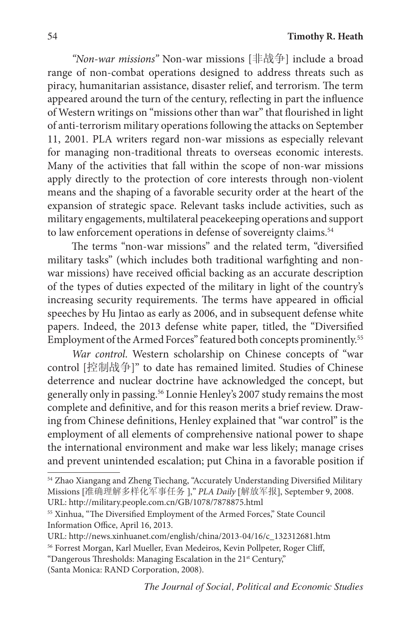*"Non-war missions"* Non-war missions [非战争] include a broad range of non-combat operations designed to address threats such as piracy, humanitarian assistance, disaster relief, and terrorism. The term appeared around the turn of the century, reflecting in part the influence of Western writings on "missions other than war" that flourished in light of anti-terrorism military operations following the attacks on September 11, 2001. PLA writers regard non-war missions as especially relevant for managing non-traditional threats to overseas economic interests. Many of the activities that fall within the scope of non-war missions apply directly to the protection of core interests through non-violent means and the shaping of a favorable security order at the heart of the expansion of strategic space. Relevant tasks include activities, such as military engagements, multilateral peacekeeping operations and support to law enforcement operations in defense of sovereignty claims.<sup>54</sup>

The terms "non-war missions" and the related term, "diversified military tasks" (which includes both traditional warfighting and nonwar missions) have received official backing as an accurate description of the types of duties expected of the military in light of the country's increasing security requirements. The terms have appeared in official speeches by Hu Jintao as early as 2006, and in subsequent defense white papers. Indeed, the 2013 defense white paper, titled, the "Diversified Employment of the Armed Forces" featured both concepts prominently.55

*War control*. Western scholarship on Chinese concepts of "war control [控制战争]" to date has remained limited. Studies of Chinese deterrence and nuclear doctrine have acknowledged the concept, but generally only in passing.56 Lonnie Henley's 2007 study remains the most complete and definitive, and for this reason merits a brief review. Drawing from Chinese definitions, Henley explained that "war control" is the employment of all elements of comprehensive national power to shape the international environment and make war less likely; manage crises and prevent unintended escalation; put China in a favorable position if

<sup>54</sup> Zhao Xiangang and Zheng Tiechang, "Accurately Understanding Diversified Military Missions [准确理解多样化军事任务 ]," *PLA Daily* [解放军报], September 9, 2008. URL: http://military.people.com.cn/GB/1078/7878875.html

<sup>&</sup>lt;sup>55</sup> Xinhua, "The Diversified Employment of the Armed Forces," State Council Information Office, April 16, 2013.

URL: http://news.xinhuanet.com/english/china/2013-04/16/c\_132312681.htm

<sup>56</sup> Forrest Morgan, Karl Mueller, Evan Medeiros, Kevin Pollpeter, Roger Cliff,

<sup>&</sup>quot;Dangerous Thresholds: Managing Escalation in the 21<sup>st</sup> Century,"

<sup>(</sup>Santa Monica: RAND Corporation, 2008).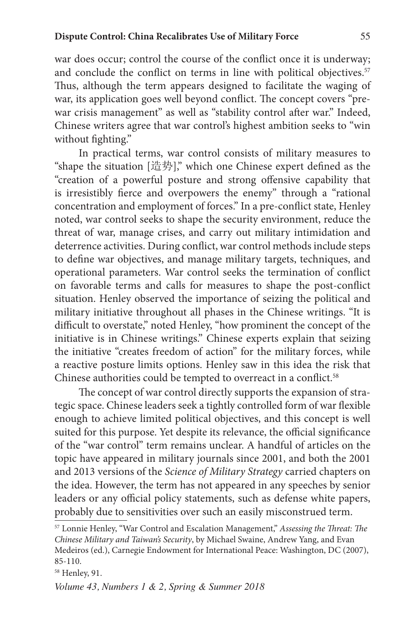war does occur; control the course of the conflict once it is underway; and conclude the conflict on terms in line with political objectives.<sup>57</sup> Thus, although the term appears designed to facilitate the waging of war, its application goes well beyond conflict. The concept covers "prewar crisis management" as well as "stability control after war." Indeed, Chinese writers agree that war control's highest ambition seeks to "win without fighting."

In practical terms, war control consists of military measures to "shape the situation [造势]," which one Chinese expert defined as the "creation of a powerful posture and strong offensive capability that is irresistibly fierce and overpowers the enemy" through a "rational concentration and employment of forces." In a pre-conflict state, Henley noted, war control seeks to shape the security environment, reduce the threat of war, manage crises, and carry out military intimidation and deterrence activities. During conflict, war control methods include steps to define war objectives, and manage military targets, techniques, and operational parameters. War control seeks the termination of conflict on favorable terms and calls for measures to shape the post-conflict situation. Henley observed the importance of seizing the political and military initiative throughout all phases in the Chinese writings. "It is difficult to overstate," noted Henley, "how prominent the concept of the initiative is in Chinese writings." Chinese experts explain that seizing the initiative "creates freedom of action" for the military forces, while a reactive posture limits options. Henley saw in this idea the risk that Chinese authorities could be tempted to overreact in a conflict.<sup>58</sup>

The concept of war control directly supports the expansion of strategic space. Chinese leaders seek a tightly controlled form of war flexible enough to achieve limited political objectives, and this concept is well suited for this purpose. Yet despite its relevance, the official significance of the "war control" term remains unclear. A handful of articles on the topic have appeared in military journals since 2001, and both the 2001 and 2013 versions of the *Science of Military Strategy* carried chapters on the idea. However, the term has not appeared in any speeches by senior leaders or any official policy statements, such as defense white papers, probably due to sensitivities over such an easily misconstrued term.

<sup>57</sup> Lonnie Henley, "War Control and Escalation Management," *Assessing the Threat: The Chinese Military and Taiwan's Security*, by Michael Swaine, Andrew Yang, and Evan Medeiros (ed.), Carnegie Endowment for International Peace: Washington, DC (2007), 85-110.

<sup>58</sup> Henley, 91.

*Volume 43, Numbers 1 & 2, Spring & Summer 2018*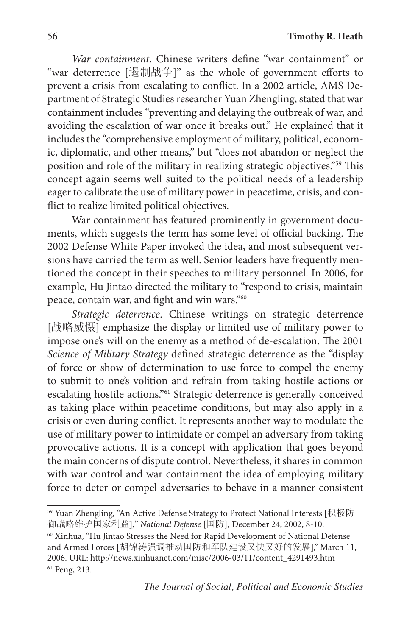*War containment*. Chinese writers define "war containment" or "war deterrence [遏制战争]" as the whole of government efforts to prevent a crisis from escalating to conflict. In a 2002 article, AMS Department of Strategic Studies researcher Yuan Zhengling, stated that war containment includes "preventing and delaying the outbreak of war, and avoiding the escalation of war once it breaks out." He explained that it includes the "comprehensive employment of military, political, economic, diplomatic, and other means," but "does not abandon or neglect the position and role of the military in realizing strategic objectives."59 This concept again seems well suited to the political needs of a leadership eager to calibrate the use of military power in peacetime, crisis, and conflict to realize limited political objectives.

War containment has featured prominently in government documents, which suggests the term has some level of official backing. The 2002 Defense White Paper invoked the idea, and most subsequent versions have carried the term as well. Senior leaders have frequently mentioned the concept in their speeches to military personnel. In 2006, for example, Hu Jintao directed the military to "respond to crisis, maintain peace, contain war, and fight and win wars."60

*Strategic deterrence*. Chinese writings on strategic deterrence [战略威慑] emphasize the display or limited use of military power to impose one's will on the enemy as a method of de-escalation. The 2001 *Science of Military Strategy* defined strategic deterrence as the "display of force or show of determination to use force to compel the enemy to submit to one's volition and refrain from taking hostile actions or escalating hostile actions."61 Strategic deterrence is generally conceived as taking place within peacetime conditions, but may also apply in a crisis or even during conflict. It represents another way to modulate the use of military power to intimidate or compel an adversary from taking provocative actions. It is a concept with application that goes beyond the main concerns of dispute control. Nevertheless, it shares in common with war control and war containment the idea of employing military force to deter or compel adversaries to behave in a manner consistent

<sup>59</sup> Yuan Zhengling, "An Active Defense Strategy to Protect National Interests [积极防 御战略维护国家利益]," *National Defense* [国防], December 24, 2002, 8-10.

<sup>60</sup> Xinhua, "Hu Jintao Stresses the Need for Rapid Development of National Defense and Armed Forces [胡锦涛强调推动国防和军队建设又快又好的发展]," March 11, 2006. URL: http://news.xinhuanet.com/misc/2006-03/11/content\_4291493.htm <sup>61</sup> Peng, 213.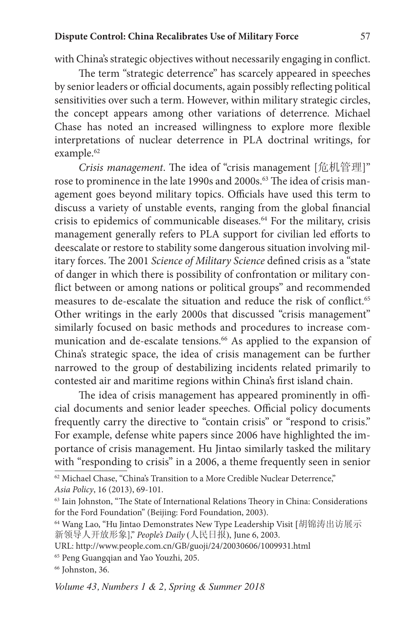#### **Dispute Control: China Recalibrates Use of Military Force** 57

with China's strategic objectives without necessarily engaging in conflict.

The term "strategic deterrence" has scarcely appeared in speeches by senior leaders or official documents, again possibly reflecting political sensitivities over such a term. However, within military strategic circles, the concept appears among other variations of deterrence. Michael Chase has noted an increased willingness to explore more flexible interpretations of nuclear deterrence in PLA doctrinal writings, for example.<sup>62</sup>

*Crisis management*. The idea of "crisis management [危机管理]" rose to prominence in the late 1990s and 2000s.<sup>63</sup> The idea of crisis management goes beyond military topics. Officials have used this term to discuss a variety of unstable events, ranging from the global financial crisis to epidemics of communicable diseases.<sup>64</sup> For the military, crisis management generally refers to PLA support for civilian led efforts to deescalate or restore to stability some dangerous situation involving military forces. The 2001 *Science of Military Science* defined crisis as a "state of danger in which there is possibility of confrontation or military conflict between or among nations or political groups" and recommended measures to de-escalate the situation and reduce the risk of conflict.<sup>65</sup> Other writings in the early 2000s that discussed "crisis management" similarly focused on basic methods and procedures to increase communication and de-escalate tensions.<sup>66</sup> As applied to the expansion of China's strategic space, the idea of crisis management can be further narrowed to the group of destabilizing incidents related primarily to contested air and maritime regions within China's first island chain.

The idea of crisis management has appeared prominently in official documents and senior leader speeches. Official policy documents frequently carry the directive to "contain crisis" or "respond to crisis." For example, defense white papers since 2006 have highlighted the importance of crisis management. Hu Jintao similarly tasked the military with "responding to crisis" in a 2006, a theme frequently seen in senior

<sup>66</sup> Johnston, 36.

<sup>62</sup> Michael Chase, "China's Transition to a More Credible Nuclear Deterrence," *Asia Policy*, 16 (2013), 69-101.

<sup>63</sup> Iain Johnston, "The State of International Relations Theory in China: Considerations for the Ford Foundation" (Beijing: Ford Foundation, 2003).

<sup>64</sup> Wang Lao, "Hu Jintao Demonstrates New Type Leadership Visit [胡锦涛出访展示 新领导人开放形象]," *People's Daily* (人民日报), June 6, 2003.

URL: http://www.people.com.cn/GB/guoji/24/20030606/1009931.html

<sup>65</sup> Peng Guangqian and Yao Youzhi, 205.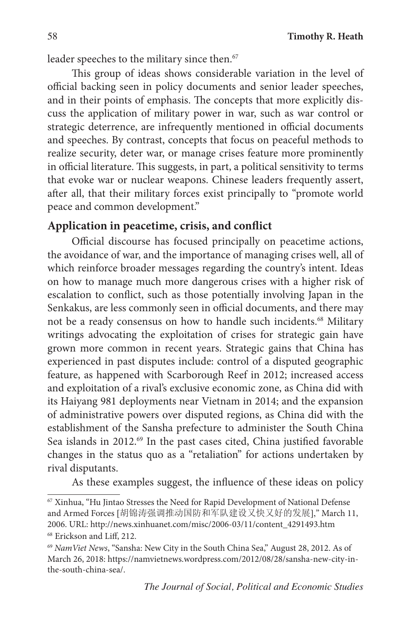leader speeches to the military since then.<sup>67</sup>

This group of ideas shows considerable variation in the level of official backing seen in policy documents and senior leader speeches, and in their points of emphasis. The concepts that more explicitly discuss the application of military power in war, such as war control or strategic deterrence, are infrequently mentioned in official documents and speeches. By contrast, concepts that focus on peaceful methods to realize security, deter war, or manage crises feature more prominently in official literature. This suggests, in part, a political sensitivity to terms that evoke war or nuclear weapons. Chinese leaders frequently assert, after all, that their military forces exist principally to "promote world peace and common development."

### **Application in peacetime, crisis, and conflict**

Official discourse has focused principally on peacetime actions, the avoidance of war, and the importance of managing crises well, all of which reinforce broader messages regarding the country's intent. Ideas on how to manage much more dangerous crises with a higher risk of escalation to conflict, such as those potentially involving Japan in the Senkakus, are less commonly seen in official documents, and there may not be a ready consensus on how to handle such incidents.<sup>68</sup> Military writings advocating the exploitation of crises for strategic gain have grown more common in recent years. Strategic gains that China has experienced in past disputes include: control of a disputed geographic feature, as happened with Scarborough Reef in 2012; increased access and exploitation of a rival's exclusive economic zone, as China did with its Haiyang 981 deployments near Vietnam in 2014; and the expansion of administrative powers over disputed regions, as China did with the establishment of the Sansha prefecture to administer the South China Sea islands in 2012.<sup>69</sup> In the past cases cited, China justified favorable changes in the status quo as a "retaliation" for actions undertaken by rival disputants.

As these examples suggest, the influence of these ideas on policy

<sup>67</sup> Xinhua, "Hu Jintao Stresses the Need for Rapid Development of National Defense and Armed Forces [胡锦涛强调推动国防和军队建设又快又好的发展]," March 11, 2006. URL: http://news.xinhuanet.com/misc/2006-03/11/content\_4291493.htm <sup>68</sup> Erickson and Liff, 212.

<sup>69</sup> *NamViet News*, "Sansha: New City in the South China Sea," August 28, 2012. As of March 26, 2018: https://namvietnews.wordpress.com/2012/08/28/sansha-new-city-inthe-south-china-sea/.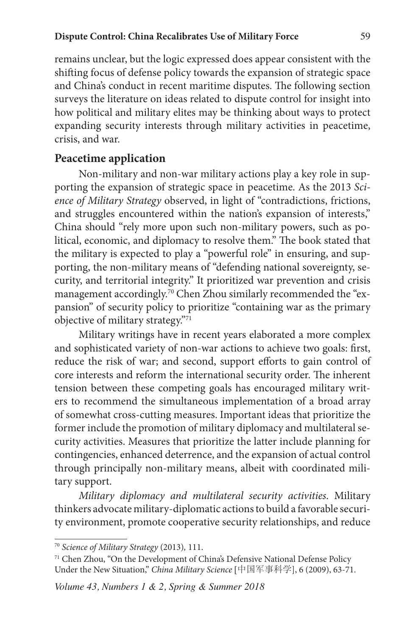remains unclear, but the logic expressed does appear consistent with the shifting focus of defense policy towards the expansion of strategic space and China's conduct in recent maritime disputes. The following section surveys the literature on ideas related to dispute control for insight into how political and military elites may be thinking about ways to protect expanding security interests through military activities in peacetime, crisis, and war.

### **Peacetime application**

Non-military and non-war military actions play a key role in supporting the expansion of strategic space in peacetime. As the 2013 *Science of Military Strategy* observed, in light of "contradictions, frictions, and struggles encountered within the nation's expansion of interests," China should "rely more upon such non-military powers, such as political, economic, and diplomacy to resolve them." The book stated that the military is expected to play a "powerful role" in ensuring, and supporting, the non-military means of "defending national sovereignty, security, and territorial integrity." It prioritized war prevention and crisis management accordingly.<sup>70</sup> Chen Zhou similarly recommended the "expansion" of security policy to prioritize "containing war as the primary objective of military strategy."71

Military writings have in recent years elaborated a more complex and sophisticated variety of non-war actions to achieve two goals: first, reduce the risk of war; and second, support efforts to gain control of core interests and reform the international security order. The inherent tension between these competing goals has encouraged military writers to recommend the simultaneous implementation of a broad array of somewhat cross-cutting measures. Important ideas that prioritize the former include the promotion of military diplomacy and multilateral security activities. Measures that prioritize the latter include planning for contingencies, enhanced deterrence, and the expansion of actual control through principally non-military means, albeit with coordinated military support.

*Military diplomacy and multilateral security activities*. Military thinkers advocate military-diplomatic actions to build a favorable security environment, promote cooperative security relationships, and reduce

<sup>70</sup> *Science of Military Strategy* (2013)*,* 111.

<sup>71</sup> Chen Zhou, "On the Development of China's Defensive National Defense Policy Under the New Situation," *China Military Science* [中国军事科学], 6 (2009), 63-71.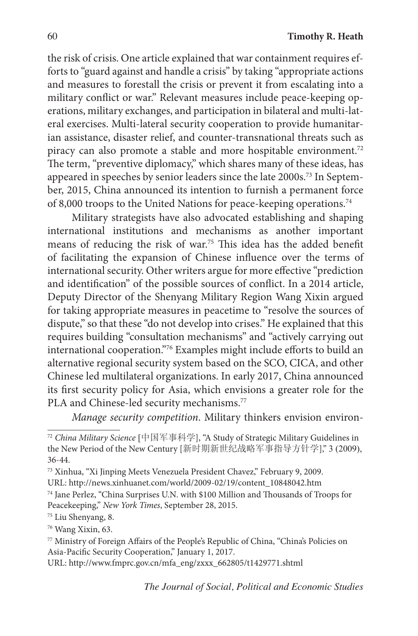the risk of crisis. One article explained that war containment requires efforts to "guard against and handle a crisis" by taking "appropriate actions and measures to forestall the crisis or prevent it from escalating into a military conflict or war." Relevant measures include peace-keeping operations, military exchanges, and participation in bilateral and multi-lateral exercises. Multi-lateral security cooperation to provide humanitarian assistance, disaster relief, and counter-transnational threats such as piracy can also promote a stable and more hospitable environment.<sup>72</sup> The term, "preventive diplomacy," which shares many of these ideas, has appeared in speeches by senior leaders since the late 2000s.73 In September, 2015, China announced its intention to furnish a permanent force of 8,000 troops to the United Nations for peace-keeping operations.<sup>74</sup>

Military strategists have also advocated establishing and shaping international institutions and mechanisms as another important means of reducing the risk of war.75 This idea has the added benefit of facilitating the expansion of Chinese influence over the terms of international security. Other writers argue for more effective "prediction and identification" of the possible sources of conflict. In a 2014 article, Deputy Director of the Shenyang Military Region Wang Xixin argued for taking appropriate measures in peacetime to "resolve the sources of dispute," so that these "do not develop into crises." He explained that this requires building "consultation mechanisms" and "actively carrying out international cooperation."76 Examples might include efforts to build an alternative regional security system based on the SCO, CICA, and other Chinese led multilateral organizations. In early 2017, China announced its first security policy for Asia, which envisions a greater role for the PLA and Chinese-led security mechanisms.<sup>77</sup>

*Manage security competition*. Military thinkers envision environ-

<sup>72</sup> *China Military Science* [中国军事科学], "A Study of Strategic Military Guidelines in the New Period of the New Century [新时期新世纪战略军事指导方针学]," 3 (2009), 36-44.

<sup>73</sup> Xinhua, "Xi Jinping Meets Venezuela President Chavez," February 9, 2009.

URL: http://news.xinhuanet.com/world/2009-02/19/content\_10848042.htm

<sup>74</sup> Jane Perlez, "China Surprises U.N. with \$100 Million and Thousands of Troops for Peacekeeping," *New York Times*, September 28, 2015.

<sup>75</sup> Liu Shenyang, 8.

<sup>76</sup> Wang Xixin, 63.

<sup>77</sup> Ministry of Foreign Affairs of the People's Republic of China, "China's Policies on Asia-Pacific Security Cooperation," January 1, 2017.

URL: http://www.fmprc.gov.cn/mfa\_eng/zxxx\_662805/t1429771.shtml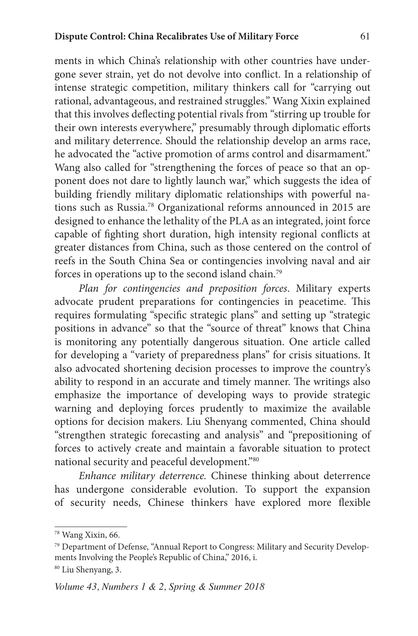ments in which China's relationship with other countries have undergone sever strain, yet do not devolve into conflict. In a relationship of intense strategic competition, military thinkers call for "carrying out rational, advantageous, and restrained struggles." Wang Xixin explained that this involves deflecting potential rivals from "stirring up trouble for their own interests everywhere," presumably through diplomatic efforts and military deterrence. Should the relationship develop an arms race, he advocated the "active promotion of arms control and disarmament." Wang also called for "strengthening the forces of peace so that an opponent does not dare to lightly launch war," which suggests the idea of building friendly military diplomatic relationships with powerful nations such as Russia.78 Organizational reforms announced in 2015 are designed to enhance the lethality of the PLA as an integrated, joint force capable of fighting short duration, high intensity regional conflicts at greater distances from China, such as those centered on the control of reefs in the South China Sea or contingencies involving naval and air forces in operations up to the second island chain.79

*Plan for contingencies and preposition forces*. Military experts advocate prudent preparations for contingencies in peacetime. This requires formulating "specific strategic plans" and setting up "strategic positions in advance" so that the "source of threat" knows that China is monitoring any potentially dangerous situation. One article called for developing a "variety of preparedness plans" for crisis situations. It also advocated shortening decision processes to improve the country's ability to respond in an accurate and timely manner. The writings also emphasize the importance of developing ways to provide strategic warning and deploying forces prudently to maximize the available options for decision makers. Liu Shenyang commented, China should "strengthen strategic forecasting and analysis" and "prepositioning of forces to actively create and maintain a favorable situation to protect national security and peaceful development."80

*Enhance military deterrence.* Chinese thinking about deterrence has undergone considerable evolution. To support the expansion of security needs, Chinese thinkers have explored more flexible

<sup>78</sup> Wang Xixin, 66.

<sup>79</sup> Department of Defense, "Annual Report to Congress: Military and Security Developments Involving the People's Republic of China," 2016, i.

<sup>80</sup> Liu Shenyang, 3.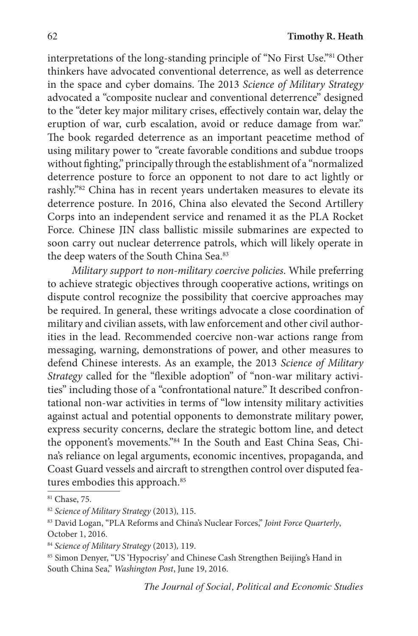interpretations of the long-standing principle of "No First Use."<sup>81</sup> Other thinkers have advocated conventional deterrence, as well as deterrence in the space and cyber domains. The 2013 *Science of Military Strategy* advocated a "composite nuclear and conventional deterrence" designed to the "deter key major military crises, effectively contain war, delay the eruption of war, curb escalation, avoid or reduce damage from war." The book regarded deterrence as an important peacetime method of using military power to "create favorable conditions and subdue troops without fighting," principally through the establishment of a "normalized deterrence posture to force an opponent to not dare to act lightly or rashly."82 China has in recent years undertaken measures to elevate its deterrence posture. In 2016, China also elevated the Second Artillery Corps into an independent service and renamed it as the PLA Rocket Force. Chinese JIN class ballistic missile submarines are expected to soon carry out nuclear deterrence patrols, which will likely operate in the deep waters of the South China Sea.<sup>83</sup>

*Military support to non-military coercive policies*. While preferring to achieve strategic objectives through cooperative actions, writings on dispute control recognize the possibility that coercive approaches may be required. In general, these writings advocate a close coordination of military and civilian assets, with law enforcement and other civil authorities in the lead. Recommended coercive non-war actions range from messaging, warning, demonstrations of power, and other measures to defend Chinese interests. As an example, the 2013 *Science of Military Strategy* called for the "flexible adoption" of "non-war military activities" including those of a "confrontational nature." It described confrontational non-war activities in terms of "low intensity military activities against actual and potential opponents to demonstrate military power, express security concerns, declare the strategic bottom line, and detect the opponent's movements."84 In the South and East China Seas, China's reliance on legal arguments, economic incentives, propaganda, and Coast Guard vessels and aircraft to strengthen control over disputed features embodies this approach.<sup>85</sup>

<sup>81</sup> Chase, 75.

<sup>82</sup> *Science of Military Strategy* (2013)*,* 115.

<sup>83</sup> David Logan, "PLA Reforms and China's Nuclear Forces," *Joint Force Quarterly*, October 1, 2016.

<sup>84</sup> *Science of Military Strategy* (2013)*,* 119.

<sup>85</sup> Simon Denyer, "US 'Hypocrisy' and Chinese Cash Strengthen Beijing's Hand in South China Sea," *Washington Post*, June 19, 2016.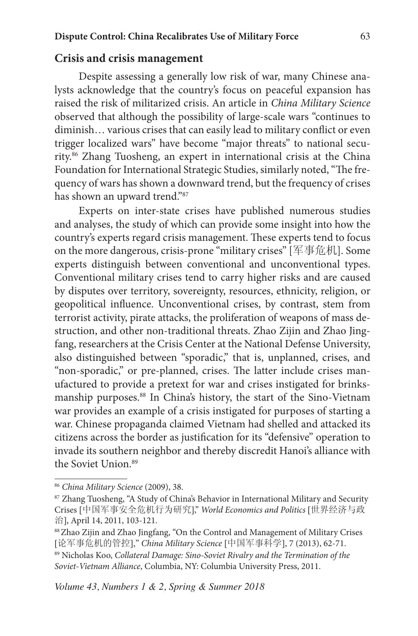#### **Crisis and crisis management**

Despite assessing a generally low risk of war, many Chinese analysts acknowledge that the country's focus on peaceful expansion has raised the risk of militarized crisis. An article in *China Military Science* observed that although the possibility of large-scale wars "continues to diminish… various crises that can easily lead to military conflict or even trigger localized wars" have become "major threats" to national security.86 Zhang Tuosheng, an expert in international crisis at the China Foundation for International Strategic Studies, similarly noted, "The frequency of wars has shown a downward trend, but the frequency of crises has shown an upward trend."87

Experts on inter-state crises have published numerous studies and analyses, the study of which can provide some insight into how the country's experts regard crisis management. These experts tend to focus on the more dangerous, crisis-prone "military crises" [军事危机]. Some experts distinguish between conventional and unconventional types. Conventional military crises tend to carry higher risks and are caused by disputes over territory, sovereignty, resources, ethnicity, religion, or geopolitical influence. Unconventional crises, by contrast, stem from terrorist activity, pirate attacks, the proliferation of weapons of mass destruction, and other non-traditional threats. Zhao Zijin and Zhao Jingfang, researchers at the Crisis Center at the National Defense University, also distinguished between "sporadic," that is, unplanned, crises, and "non-sporadic," or pre-planned, crises. The latter include crises manufactured to provide a pretext for war and crises instigated for brinksmanship purposes.<sup>88</sup> In China's history, the start of the Sino-Vietnam war provides an example of a crisis instigated for purposes of starting a war. Chinese propaganda claimed Vietnam had shelled and attacked its citizens across the border as justification for its "defensive" operation to invade its southern neighbor and thereby discredit Hanoi's alliance with the Soviet Union.<sup>89</sup>

<sup>86</sup> *China Military Science* (2009), 38.

<sup>87</sup> Zhang Tuosheng, "A Study of China's Behavior in International Military and Security Crises [中国军事安全危机行为研究]," *World Economics and Politics* [世界经济与政 治], April 14, 2011, 103-121.

<sup>88</sup> Zhao Zijin and Zhao Jingfang, "On the Control and Management of Military Crises [论军事危机的管控]," *China Military Science* [中国军事科学], 7 (2013), 62-71. 89 Nicholas Koo, *Collateral Damage: Sino-Soviet Rivalry and the Termination of the Soviet-Vietnam Alliance*, Columbia, NY: Columbia University Press, 2011.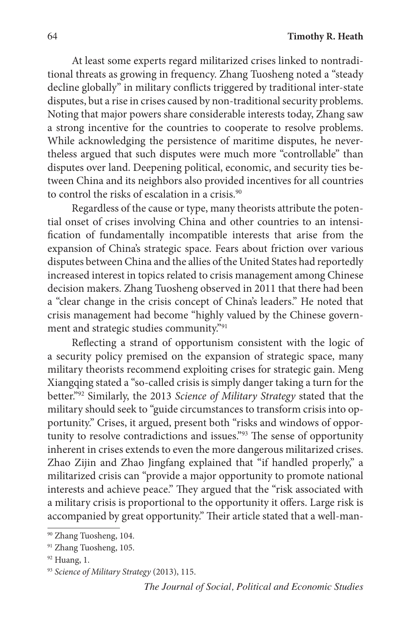At least some experts regard militarized crises linked to nontraditional threats as growing in frequency. Zhang Tuosheng noted a "steady decline globally" in military conflicts triggered by traditional inter-state disputes, but a rise in crises caused by non-traditional security problems. Noting that major powers share considerable interests today, Zhang saw a strong incentive for the countries to cooperate to resolve problems. While acknowledging the persistence of maritime disputes, he nevertheless argued that such disputes were much more "controllable" than disputes over land. Deepening political, economic, and security ties between China and its neighbors also provided incentives for all countries to control the risks of escalation in a crisis.<sup>90</sup>

Regardless of the cause or type, many theorists attribute the potential onset of crises involving China and other countries to an intensification of fundamentally incompatible interests that arise from the expansion of China's strategic space. Fears about friction over various disputes between China and the allies of the United States had reportedly increased interest in topics related to crisis management among Chinese decision makers. Zhang Tuosheng observed in 2011 that there had been a "clear change in the crisis concept of China's leaders." He noted that crisis management had become "highly valued by the Chinese government and strategic studies community."91

Reflecting a strand of opportunism consistent with the logic of a security policy premised on the expansion of strategic space, many military theorists recommend exploiting crises for strategic gain. Meng Xiangqing stated a "so-called crisis is simply danger taking a turn for the better."92 Similarly, the 2013 *Science of Military Strategy* stated that the military should seek to "guide circumstances to transform crisis into opportunity." Crises, it argued, present both "risks and windows of opportunity to resolve contradictions and issues."93 The sense of opportunity inherent in crises extends to even the more dangerous militarized crises. Zhao Zijin and Zhao Jingfang explained that "if handled properly," a militarized crisis can "provide a major opportunity to promote national interests and achieve peace." They argued that the "risk associated with a military crisis is proportional to the opportunity it offers. Large risk is accompanied by great opportunity." Their article stated that a well-man-

<sup>90</sup> Zhang Tuosheng, 104.

<sup>&</sup>lt;sup>91</sup> Zhang Tuosheng, 105.

 $92$  Huang, 1.

<sup>93</sup> *Science of Military Strategy* (2013), 115.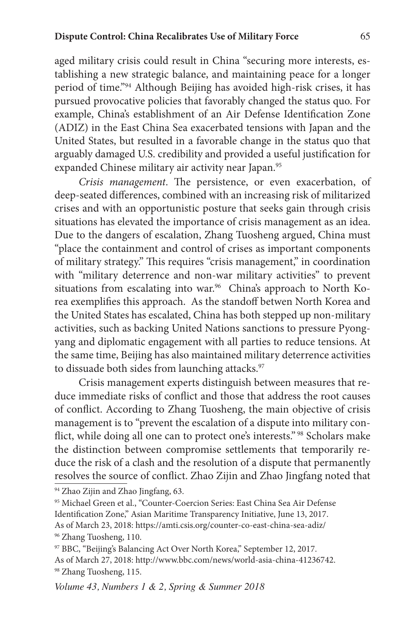aged military crisis could result in China "securing more interests, establishing a new strategic balance, and maintaining peace for a longer period of time."94 Although Beijing has avoided high-risk crises, it has pursued provocative policies that favorably changed the status quo. For example, China's establishment of an Air Defense Identification Zone (ADIZ) in the East China Sea exacerbated tensions with Japan and the United States, but resulted in a favorable change in the status quo that arguably damaged U.S. credibility and provided a useful justification for expanded Chinese military air activity near Japan.<sup>95</sup>

*Crisis management*. The persistence, or even exacerbation, of deep-seated differences, combined with an increasing risk of militarized crises and with an opportunistic posture that seeks gain through crisis situations has elevated the importance of crisis management as an idea. Due to the dangers of escalation, Zhang Tuosheng argued, China must "place the containment and control of crises as important components of military strategy." This requires "crisis management," in coordination with "military deterrence and non-war military activities" to prevent situations from escalating into war.<sup>96</sup> China's approach to North Korea exemplifies this approach. As the standoff betwen North Korea and the United States has escalated, China has both stepped up non-military activities, such as backing United Nations sanctions to pressure Pyongyang and diplomatic engagement with all parties to reduce tensions. At the same time, Beijing has also maintained military deterrence activities to dissuade both sides from launching attacks.<sup>97</sup>

Crisis management experts distinguish between measures that reduce immediate risks of conflict and those that address the root causes of conflict. According to Zhang Tuosheng, the main objective of crisis management is to "prevent the escalation of a dispute into military conflict, while doing all one can to protect one's interests." <sup>98</sup> Scholars make the distinction between compromise settlements that temporarily reduce the risk of a clash and the resolution of a dispute that permanently resolves the source of conflict. Zhao Zijin and Zhao Jingfang noted that

94 Zhao Zijin and Zhao Jingfang, 63.

As of March 23, 2018: https://amti.csis.org/counter-co-east-china-sea-adiz/

96 Zhang Tuosheng, 110.

<sup>95</sup> Michael Green et al., "Counter-Coercion Series: East China Sea Air Defense Identification Zone," Asian Maritime Transparency Initiative, June 13, 2017.

<sup>97</sup> BBC, "Beijing's Balancing Act Over North Korea," September 12, 2017. As of March 27, 2018: http://www.bbc.com/news/world-asia-china-41236742.<br><sup>98</sup> Zhang Tuosheng, 115.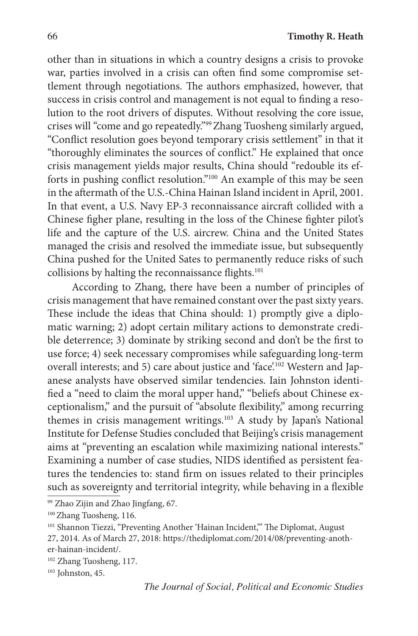other than in situations in which a country designs a crisis to provoke war, parties involved in a crisis can often find some compromise settlement through negotiations. The authors emphasized, however, that success in crisis control and management is not equal to finding a resolution to the root drivers of disputes. Without resolving the core issue, crises will "come and go repeatedly."99Zhang Tuosheng similarly argued, "Conflict resolution goes beyond temporary crisis settlement" in that it "thoroughly eliminates the sources of conflict." He explained that once crisis management yields major results, China should "redouble its efforts in pushing conflict resolution."100 An example of this may be seen in the aftermath of the U.S.-China Hainan Island incident in April, 2001. In that event, a U.S. Navy EP-3 reconnaissance aircraft collided with a Chinese figher plane, resulting in the loss of the Chinese fighter pilot's life and the capture of the U.S. aircrew. China and the United States managed the crisis and resolved the immediate issue, but subsequently China pushed for the United Sates to permanently reduce risks of such collisions by halting the reconnaissance flights.<sup>101</sup>

According to Zhang, there have been a number of principles of crisis management that have remained constant over the past sixty years. These include the ideas that China should: 1) promptly give a diplomatic warning; 2) adopt certain military actions to demonstrate credible deterrence; 3) dominate by striking second and don't be the first to use force; 4) seek necessary compromises while safeguarding long-term overall interests; and 5) care about justice and 'face'.102 Western and Japanese analysts have observed similar tendencies. Iain Johnston identified a "need to claim the moral upper hand," "beliefs about Chinese exceptionalism," and the pursuit of "absolute flexibility," among recurring themes in crisis management writings.<sup>103</sup> A study by Japan's National Institute for Defense Studies concluded that Beijing's crisis management aims at "preventing an escalation while maximizing national interests." Examining a number of case studies, NIDS identified as persistent features the tendencies to: stand firm on issues related to their principles such as sovereignty and territorial integrity, while behaving in a flexible

<sup>99</sup> Zhao Zijin and Zhao Jingfang, 67.

<sup>&</sup>lt;sup>100</sup> Zhang Tuosheng, 116.

<sup>&</sup>lt;sup>101</sup> Shannon Tiezzi, "Preventing Another 'Hainan Incident," The Diplomat, August 27, 2014. As of March 27, 2018: https://thediplomat.com/2014/08/preventing-another-hainan-incident/. 102 Zhang Tuosheng, 117.

 $103$  Johnston, 45.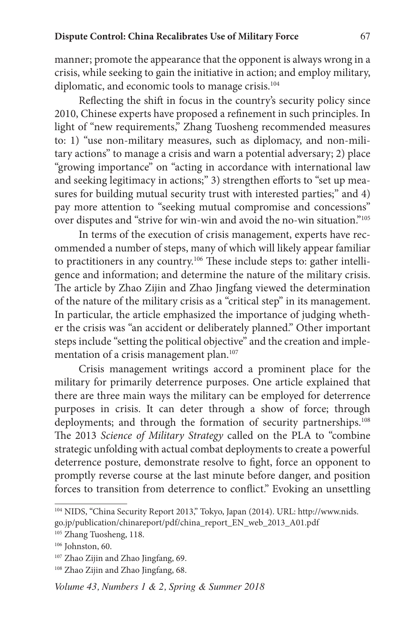manner; promote the appearance that the opponent is always wrong in a crisis, while seeking to gain the initiative in action; and employ military, diplomatic, and economic tools to manage crisis.<sup>104</sup>

Reflecting the shift in focus in the country's security policy since 2010, Chinese experts have proposed a refinement in such principles. In light of "new requirements," Zhang Tuosheng recommended measures to: 1) "use non-military measures, such as diplomacy, and non-military actions" to manage a crisis and warn a potential adversary; 2) place "growing importance" on "acting in accordance with international law and seeking legitimacy in actions;" 3) strengthen efforts to "set up measures for building mutual security trust with interested parties;" and 4) pay more attention to "seeking mutual compromise and concessions" over disputes and "strive for win-win and avoid the no-win situation."105

In terms of the execution of crisis management, experts have recommended a number of steps, many of which will likely appear familiar to practitioners in any country.<sup>106</sup> These include steps to: gather intelligence and information; and determine the nature of the military crisis. The article by Zhao Zijin and Zhao Jingfang viewed the determination of the nature of the military crisis as a "critical step" in its management. In particular, the article emphasized the importance of judging whether the crisis was "an accident or deliberately planned." Other important steps include "setting the political objective" and the creation and implementation of a crisis management plan.<sup>107</sup>

Crisis management writings accord a prominent place for the military for primarily deterrence purposes. One article explained that there are three main ways the military can be employed for deterrence purposes in crisis. It can deter through a show of force; through deployments; and through the formation of security partnerships.<sup>108</sup> The 2013 *Science of Military Strategy* called on the PLA to "combine strategic unfolding with actual combat deployments to create a powerful deterrence posture, demonstrate resolve to fight, force an opponent to promptly reverse course at the last minute before danger, and position forces to transition from deterrence to conflict." Evoking an unsettling

<sup>104</sup> NIDS, "China Security Report 2013," Tokyo, Japan (2014). URL: http://www.nids. go.jp/publication/chinareport/pdf/china\_report\_EN\_web\_2013\_A01.pdf

<sup>&</sup>lt;sup>105</sup> Zhang Tuosheng, 118.

 $106$  Johnston, 60.

<sup>&</sup>lt;sup>107</sup> Zhao Zijin and Zhao Jingfang, 69.

<sup>&</sup>lt;sup>108</sup> Zhao Zijin and Zhao Jingfang, 68.

*Volume 43, Numbers 1 & 2, Spring & Summer 2018*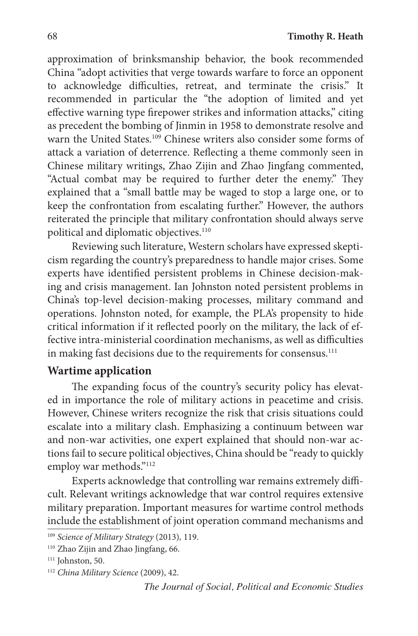approximation of brinksmanship behavior, the book recommended China "adopt activities that verge towards warfare to force an opponent to acknowledge difficulties, retreat, and terminate the crisis." It recommended in particular the "the adoption of limited and yet effective warning type firepower strikes and information attacks," citing as precedent the bombing of Jinmin in 1958 to demonstrate resolve and warn the United States.<sup>109</sup> Chinese writers also consider some forms of attack a variation of deterrence. Reflecting a theme commonly seen in Chinese military writings, Zhao Zijin and Zhao Jingfang commented, "Actual combat may be required to further deter the enemy." They explained that a "small battle may be waged to stop a large one, or to keep the confrontation from escalating further." However, the authors reiterated the principle that military confrontation should always serve political and diplomatic objectives.<sup>110</sup>

Reviewing such literature, Western scholars have expressed skepticism regarding the country's preparedness to handle major crises. Some experts have identified persistent problems in Chinese decision-making and crisis management. Ian Johnston noted persistent problems in China's top-level decision-making processes, military command and operations. Johnston noted, for example, the PLA's propensity to hide critical information if it reflected poorly on the military, the lack of effective intra-ministerial coordination mechanisms, as well as difficulties in making fast decisions due to the requirements for consensus.<sup>111</sup>

# **Wartime application**

The expanding focus of the country's security policy has elevated in importance the role of military actions in peacetime and crisis. However, Chinese writers recognize the risk that crisis situations could escalate into a military clash. Emphasizing a continuum between war and non-war activities, one expert explained that should non-war actions fail to secure political objectives, China should be "ready to quickly employ war methods."112

Experts acknowledge that controlling war remains extremely difficult. Relevant writings acknowledge that war control requires extensive military preparation. Important measures for wartime control methods include the establishment of joint operation command mechanisms and

<sup>109</sup> *Science of Military Strategy* (2013)*,* 119.

<sup>110</sup> Zhao Zijin and Zhao Jingfang, 66.

<sup>&</sup>lt;sup>111</sup> Johnston, 50.

<sup>112</sup> *China Military Science* (2009), 42.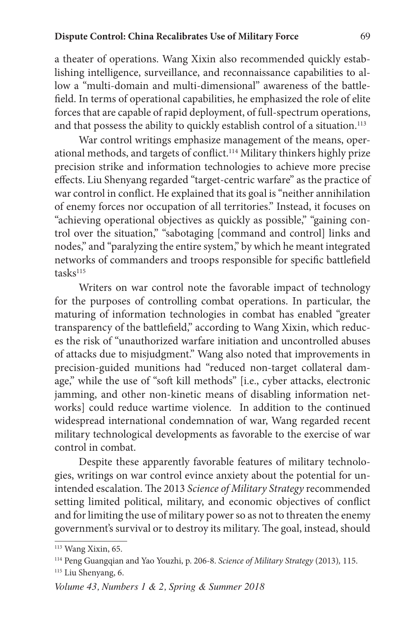a theater of operations. Wang Xixin also recommended quickly establishing intelligence, surveillance, and reconnaissance capabilities to allow a "multi-domain and multi-dimensional" awareness of the battlefield. In terms of operational capabilities, he emphasized the role of elite forces that are capable of rapid deployment, of full-spectrum operations, and that possess the ability to quickly establish control of a situation.<sup>113</sup>

War control writings emphasize management of the means, operational methods, and targets of conflict.114 Military thinkers highly prize precision strike and information technologies to achieve more precise effects. Liu Shenyang regarded "target-centric warfare" as the practice of war control in conflict. He explained that its goal is "neither annihilation of enemy forces nor occupation of all territories." Instead, it focuses on "achieving operational objectives as quickly as possible," "gaining control over the situation," "sabotaging [command and control] links and nodes," and "paralyzing the entire system," by which he meant integrated networks of commanders and troops responsible for specific battlefield tasks<sup>115</sup>

Writers on war control note the favorable impact of technology for the purposes of controlling combat operations. In particular, the maturing of information technologies in combat has enabled "greater transparency of the battlefield," according to Wang Xixin, which reduces the risk of "unauthorized warfare initiation and uncontrolled abuses of attacks due to misjudgment." Wang also noted that improvements in precision-guided munitions had "reduced non-target collateral damage," while the use of "soft kill methods" [i.e., cyber attacks, electronic jamming, and other non-kinetic means of disabling information networks] could reduce wartime violence. In addition to the continued widespread international condemnation of war, Wang regarded recent military technological developments as favorable to the exercise of war control in combat.

Despite these apparently favorable features of military technologies, writings on war control evince anxiety about the potential for unintended escalation. The 2013 *Science of Military Strategy* recommended setting limited political, military, and economic objectives of conflict and for limiting the use of military power so as not to threaten the enemy government's survival or to destroy its military. The goal, instead, should

<sup>113</sup> Wang Xixin, 65.

<sup>114</sup> Peng Guangqian and Yao Youzhi, p. 206-8. *Science of Military Strategy* (2013)*,* 115. <sup>115</sup> Liu Shenyang, 6.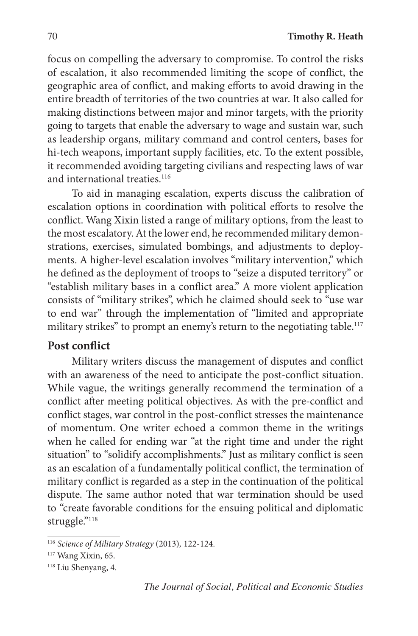focus on compelling the adversary to compromise. To control the risks of escalation, it also recommended limiting the scope of conflict, the geographic area of conflict, and making efforts to avoid drawing in the entire breadth of territories of the two countries at war. It also called for making distinctions between major and minor targets, with the priority going to targets that enable the adversary to wage and sustain war, such as leadership organs, military command and control centers, bases for hi-tech weapons, important supply facilities, etc. To the extent possible, it recommended avoiding targeting civilians and respecting laws of war and international treaties.<sup>116</sup>

To aid in managing escalation, experts discuss the calibration of escalation options in coordination with political efforts to resolve the conflict. Wang Xixin listed a range of military options, from the least to the most escalatory. At the lower end, he recommended military demonstrations, exercises, simulated bombings, and adjustments to deployments. A higher-level escalation involves "military intervention," which he defined as the deployment of troops to "seize a disputed territory" or "establish military bases in a conflict area." A more violent application consists of "military strikes", which he claimed should seek to "use war to end war" through the implementation of "limited and appropriate military strikes" to prompt an enemy's return to the negotiating table.<sup>117</sup>

### **Post conflict**

Military writers discuss the management of disputes and conflict with an awareness of the need to anticipate the post-conflict situation. While vague, the writings generally recommend the termination of a conflict after meeting political objectives. As with the pre-conflict and conflict stages, war control in the post-conflict stresses the maintenance of momentum. One writer echoed a common theme in the writings when he called for ending war "at the right time and under the right situation" to "solidify accomplishments." Just as military conflict is seen as an escalation of a fundamentally political conflict, the termination of military conflict is regarded as a step in the continuation of the political dispute. The same author noted that war termination should be used to "create favorable conditions for the ensuing political and diplomatic struggle."<sup>118</sup>

<sup>116</sup> *Science of Military Strategy* (2013)*,* 122-124.

<sup>117</sup> Wang Xixin, 65.

<sup>118</sup> Liu Shenyang, 4.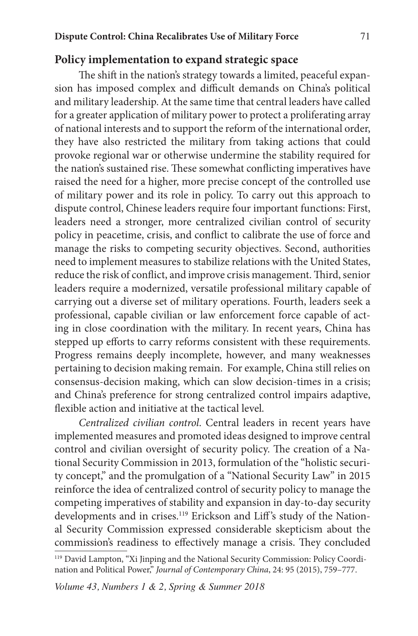### **Policy implementation to expand strategic space**

The shift in the nation's strategy towards a limited, peaceful expansion has imposed complex and difficult demands on China's political and military leadership. At the same time that central leaders have called for a greater application of military power to protect a proliferating array of national interests and to support the reform of the international order, they have also restricted the military from taking actions that could provoke regional war or otherwise undermine the stability required for the nation's sustained rise. These somewhat conflicting imperatives have raised the need for a higher, more precise concept of the controlled use of military power and its role in policy. To carry out this approach to dispute control, Chinese leaders require four important functions: First, leaders need a stronger, more centralized civilian control of security policy in peacetime, crisis, and conflict to calibrate the use of force and manage the risks to competing security objectives. Second, authorities need to implement measures to stabilize relations with the United States, reduce the risk of conflict, and improve crisis management. Third, senior leaders require a modernized, versatile professional military capable of carrying out a diverse set of military operations. Fourth, leaders seek a professional, capable civilian or law enforcement force capable of acting in close coordination with the military. In recent years, China has stepped up efforts to carry reforms consistent with these requirements. Progress remains deeply incomplete, however, and many weaknesses pertaining to decision making remain. For example, China still relies on consensus-decision making, which can slow decision-times in a crisis; and China's preference for strong centralized control impairs adaptive, flexible action and initiative at the tactical level.

*Centralized civilian control*. Central leaders in recent years have implemented measures and promoted ideas designed to improve central control and civilian oversight of security policy. The creation of a National Security Commission in 2013, formulation of the "holistic security concept," and the promulgation of a "National Security Law" in 2015 reinforce the idea of centralized control of security policy to manage the competing imperatives of stability and expansion in day-to-day security developments and in crises.<sup>119</sup> Erickson and Liff's study of the National Security Commission expressed considerable skepticism about the commission's readiness to effectively manage a crisis. They concluded

<sup>119</sup> David Lampton, "Xi Jinping and the National Security Commission: Policy Coordination and Political Power," *Journal of Contemporary China*, 24: 95 (2015), 759–777.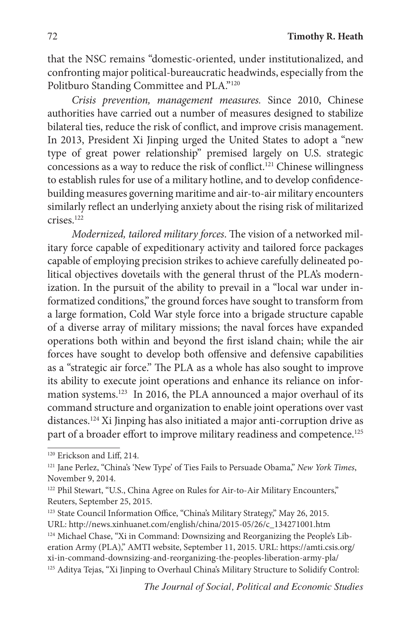that the NSC remains "domestic-oriented, under institutionalized, and confronting major political-bureaucratic headwinds, especially from the Politburo Standing Committee and PLA."120

*Crisis prevention, management measures.* Since 2010, Chinese authorities have carried out a number of measures designed to stabilize bilateral ties, reduce the risk of conflict, and improve crisis management. In 2013, President Xi Jinping urged the United States to adopt a "new type of great power relationship" premised largely on U.S. strategic concessions as a way to reduce the risk of conflict.121 Chinese willingness to establish rules for use of a military hotline, and to develop confidencebuilding measures governing maritime and air-to-air military encounters similarly reflect an underlying anxiety about the rising risk of militarized crises.122

*Modernized, tailored military forces*. The vision of a networked military force capable of expeditionary activity and tailored force packages capable of employing precision strikes to achieve carefully delineated political objectives dovetails with the general thrust of the PLA's modernization. In the pursuit of the ability to prevail in a "local war under informatized conditions," the ground forces have sought to transform from a large formation, Cold War style force into a brigade structure capable of a diverse array of military missions; the naval forces have expanded operations both within and beyond the first island chain; while the air forces have sought to develop both offensive and defensive capabilities as a "strategic air force." The PLA as a whole has also sought to improve its ability to execute joint operations and enhance its reliance on information systems.123 In 2016, the PLA announced a major overhaul of its command structure and organization to enable joint operations over vast distances.124 Xi Jinping has also initiated a major anti-corruption drive as part of a broader effort to improve military readiness and competence.<sup>125</sup>

<sup>120</sup> Erickson and Liff, 214.

<sup>121</sup> Jane Perlez, "China's 'New Type' of Ties Fails to Persuade Obama," *New York Times*, November 9, 2014.

<sup>122</sup> Phil Stewart, "U.S., China Agree on Rules for Air-to-Air Military Encounters," Reuters, September 25, 2015.

<sup>123</sup> State Council Information Office, "China's Military Strategy," May 26, 2015. URL: http://news.xinhuanet.com/english/china/2015-05/26/c\_134271001.htm 124 Michael Chase, "Xi in Command: Downsizing and Reorganizing the People's Liberation Army (PLA)," AMTI website, September 11, 2015. URL: https://amti.csis.org/ xi-in-command-downsizing-and-reorganizing-the-peoples-liberation-army-pla/ <sup>125</sup> Aditya Tejas, "Xi Jinping to Overhaul China's Military Structure to Solidify Control: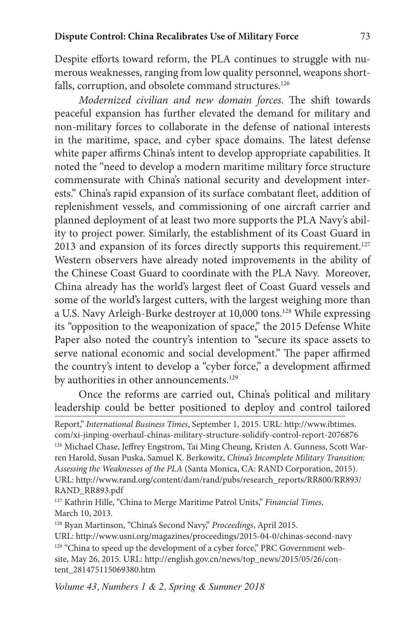Despite efforts toward reform, the PLA continues to struggle with numerous weaknesses, ranging from low quality personnel, weapons shortfalls, corruption, and obsolete command structures.<sup>126</sup>

*Modernized civilian and new domain forces*. The shift towards peaceful expansion has further elevated the demand for military and non-military forces to collaborate in the defense of national interests in the maritime, space, and cyber space domains. The latest defense white paper affirms China's intent to develop appropriate capabilities. It noted the "need to develop a modern maritime military force structure commensurate with China's national security and development interests." China's rapid expansion of its surface combatant fleet, addition of replenishment vessels, and commissioning of one aircraft carrier and planned deployment of at least two more supports the PLA Navy's ability to project power. Similarly, the establishment of its Coast Guard in 2013 and expansion of its forces directly supports this requirement.<sup>127</sup> Western observers have already noted improvements in the ability of the Chinese Coast Guard to coordinate with the PLA Navy. Moreover, China already has the world's largest fleet of Coast Guard vessels and some of the world's largest cutters, with the largest weighing more than a U.S. Navy Arleigh-Burke destroyer at 10,000 tons.128 While expressing its "opposition to the weaponization of space," the 2015 Defense White Paper also noted the country's intention to "secure its space assets to serve national economic and social development." The paper affirmed the country's intent to develop a "cyber force," a development affirmed by authorities in other announcements.<sup>129</sup>

Once the reforms are carried out, China's political and military leadership could be better positioned to deploy and control tailored

Report," *International Business Times*, September 1, 2015. URL: http://www.ibtimes. com/xi-jinping-overhaul-chinas-military-structure-solidify-control-report-2076876 <sup>126</sup> Michael Chase, Jeffrey Engstrom, Tai Ming Cheung, Kristen A. Gunness, Scott Warren Harold, Susan Puska, Samuel K. Berkowitz, *China's Incomplete Military Transition: Assessing the Weaknesses of the PLA* (Santa Monica, CA: RAND Corporation, 2015). URL: http://www.rand.org/content/dam/rand/pubs/research\_reports/RR800/RR893/ RAND\_RR893.pdf

<sup>127</sup> Kathrin Hille, "China to Merge Maritime Patrol Units," *Financial Times*, March 10, 2013.

<sup>128</sup> Ryan Martinson, "China's Second Navy," *Proceedings*, April 2015. URL: http://www.usni.org/magazines/proceedings/2015-04-0/chinas-second-navy <sup>129</sup> "China to speed up the development of a cyber force," PRC Government website, May 26, 2015. URL: http://english.gov.cn/news/top\_news/2015/05/26/content\_281475115069380.htm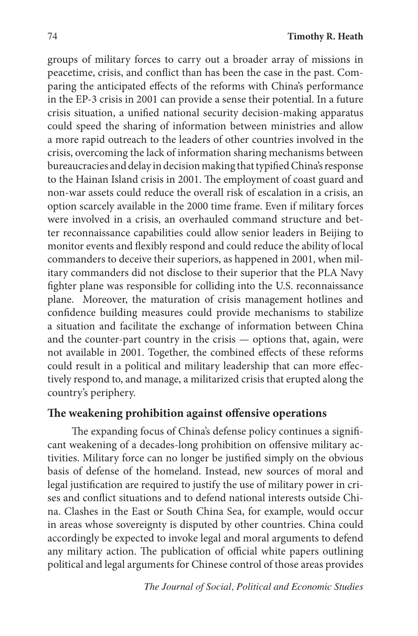groups of military forces to carry out a broader array of missions in peacetime, crisis, and conflict than has been the case in the past. Comparing the anticipated effects of the reforms with China's performance in the EP-3 crisis in 2001 can provide a sense their potential. In a future crisis situation, a unified national security decision-making apparatus could speed the sharing of information between ministries and allow a more rapid outreach to the leaders of other countries involved in the crisis, overcoming the lack of information sharing mechanisms between bureaucracies and delay in decision making that typified China's response to the Hainan Island crisis in 2001. The employment of coast guard and non-war assets could reduce the overall risk of escalation in a crisis, an option scarcely available in the 2000 time frame. Even if military forces were involved in a crisis, an overhauled command structure and better reconnaissance capabilities could allow senior leaders in Beijing to monitor events and flexibly respond and could reduce the ability of local commanders to deceive their superiors, as happened in 2001, when military commanders did not disclose to their superior that the PLA Navy fighter plane was responsible for colliding into the U.S. reconnaissance plane. Moreover, the maturation of crisis management hotlines and confidence building measures could provide mechanisms to stabilize a situation and facilitate the exchange of information between China and the counter-part country in the crisis — options that, again, were not available in 2001. Together, the combined effects of these reforms could result in a political and military leadership that can more effectively respond to, and manage, a militarized crisis that erupted along the country's periphery.

#### **The weakening prohibition against offensive operations**

The expanding focus of China's defense policy continues a significant weakening of a decades-long prohibition on offensive military activities. Military force can no longer be justified simply on the obvious basis of defense of the homeland. Instead, new sources of moral and legal justification are required to justify the use of military power in crises and conflict situations and to defend national interests outside China. Clashes in the East or South China Sea, for example, would occur in areas whose sovereignty is disputed by other countries. China could accordingly be expected to invoke legal and moral arguments to defend any military action. The publication of official white papers outlining political and legal arguments for Chinese control of those areas provides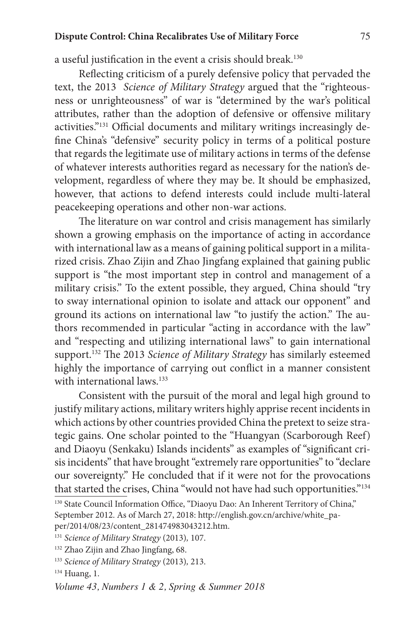#### **Dispute Control: China Recalibrates Use of Military Force** 75

a useful justification in the event a crisis should break.130

Reflecting criticism of a purely defensive policy that pervaded the text, the 2013 *Science of Military Strategy* argued that the "righteousness or unrighteousness" of war is "determined by the war's political attributes, rather than the adoption of defensive or offensive military activities."131 Official documents and military writings increasingly define China's "defensive" security policy in terms of a political posture that regards the legitimate use of military actions in terms of the defense of whatever interests authorities regard as necessary for the nation's development, regardless of where they may be. It should be emphasized, however, that actions to defend interests could include multi-lateral peacekeeping operations and other non-war actions.

The literature on war control and crisis management has similarly shown a growing emphasis on the importance of acting in accordance with international law as a means of gaining political support in a militarized crisis. Zhao Zijin and Zhao Jingfang explained that gaining public support is "the most important step in control and management of a military crisis." To the extent possible, they argued, China should "try to sway international opinion to isolate and attack our opponent" and ground its actions on international law "to justify the action." The authors recommended in particular "acting in accordance with the law" and "respecting and utilizing international laws" to gain international support.132 The 2013 *Science of Military Strategy* has similarly esteemed highly the importance of carrying out conflict in a manner consistent with international laws.<sup>133</sup>

Consistent with the pursuit of the moral and legal high ground to justify military actions, military writers highly apprise recent incidents in which actions by other countries provided China the pretext to seize strategic gains. One scholar pointed to the "Huangyan (Scarborough Reef) and Diaoyu (Senkaku) Islands incidents" as examples of "significant crisis incidents" that have brought "extremely rare opportunities" to "declare our sovereignty." He concluded that if it were not for the provocations that started the crises, China "would not have had such opportunities."134

<sup>130</sup> State Council Information Office, "Diaoyu Dao: An Inherent Territory of China," September 2012. As of March 27, 2018: http://english.gov.cn/archive/white\_paper/2014/08/23/content\_281474983043212.htm.

<sup>131</sup> *Science of Military Strategy* (2013)*,* 107.

<sup>132</sup> Zhao Zijin and Zhao Jingfang, 68.

<sup>133</sup> *Science of Military Strategy* (2013)*,* 213.

<sup>134</sup> Huang, 1.

*Volume 43, Numbers 1 & 2, Spring & Summer 2018*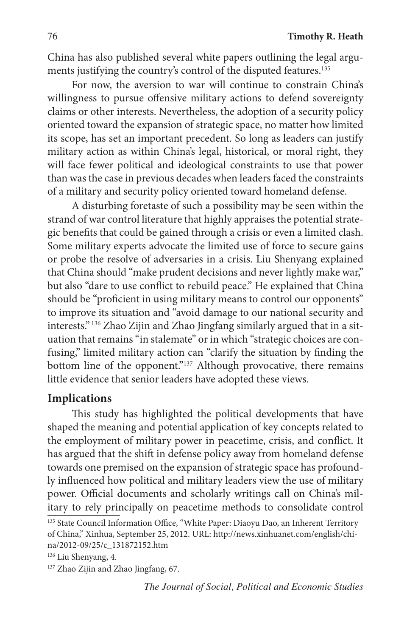China has also published several white papers outlining the legal arguments justifying the country's control of the disputed features.<sup>135</sup>

For now, the aversion to war will continue to constrain China's willingness to pursue offensive military actions to defend sovereignty claims or other interests. Nevertheless, the adoption of a security policy oriented toward the expansion of strategic space, no matter how limited its scope, has set an important precedent. So long as leaders can justify military action as within China's legal, historical, or moral right, they will face fewer political and ideological constraints to use that power than was the case in previous decades when leaders faced the constraints of a military and security policy oriented toward homeland defense.

A disturbing foretaste of such a possibility may be seen within the strand of war control literature that highly appraises the potential strategic benefits that could be gained through a crisis or even a limited clash. Some military experts advocate the limited use of force to secure gains or probe the resolve of adversaries in a crisis. Liu Shenyang explained that China should "make prudent decisions and never lightly make war," but also "dare to use conflict to rebuild peace." He explained that China should be "proficient in using military means to control our opponents" to improve its situation and "avoid damage to our national security and interests." 136 Zhao Zijin and Zhao Jingfang similarly argued that in a situation that remains "in stalemate" or in which "strategic choices are confusing," limited military action can "clarify the situation by finding the bottom line of the opponent."<sup>137</sup> Although provocative, there remains little evidence that senior leaders have adopted these views.

#### **Implications**

This study has highlighted the political developments that have shaped the meaning and potential application of key concepts related to the employment of military power in peacetime, crisis, and conflict. It has argued that the shift in defense policy away from homeland defense towards one premised on the expansion of strategic space has profoundly influenced how political and military leaders view the use of military power. Official documents and scholarly writings call on China's military to rely principally on peacetime methods to consolidate control

<sup>&</sup>lt;sup>135</sup> State Council Information Office, "White Paper: Diaoyu Dao, an Inherent Territory of China," Xinhua, September 25, 2012. URL: http://news.xinhuanet.com/english/china/2012-09/25/c\_131872152.htm

<sup>136</sup> Liu Shenyang, 4.

<sup>&</sup>lt;sup>137</sup> Zhao Zijin and Zhao Jingfang, 67.